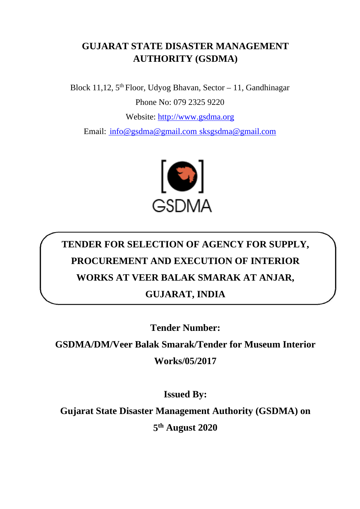## **GUJARAT STATE DISASTER MANAGEMENT AUTHORITY (GSDMA)**

Block 11,12,  $5<sup>th</sup>$  Floor, Udyog Bhavan, Sector – 11, Gandhinagar Phone No: 079 2325 9220 Website: [http://www.gsdma.org](http://www.gsdma.org/) Email: [info@gsdma@gmail.com](mailto:%20info@gsdma@gmail.com%20sksgsdma@gmail.com) sksgsdma@gmail.com



## **TENDER FOR SELECTION OF AGENCY FOR SUPPLY, PROCUREMENT AND EXECUTION OF INTERIOR WORKS AT VEER BALAK SMARAK AT ANJAR, GUJARAT, INDIA**

**Tender Number:** 

**GSDMA/DM/Veer Balak Smarak/Tender for Museum Interior** 

**Works/05/2017**

**Issued By:**

**Gujarat State Disaster Management Authority (GSDMA) on**

**5th August 2020**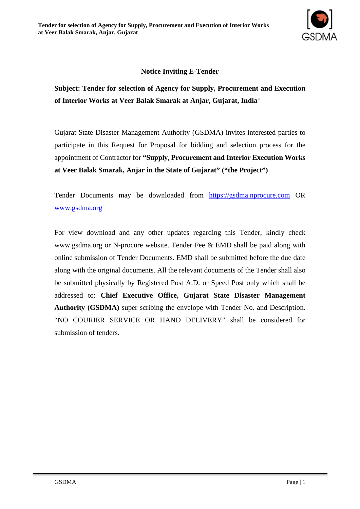

#### **Notice Inviting E-Tender**

**Subject: Tender for selection of Agency for Supply, Procurement and Execution of Interior Works at Veer Balak Smarak at Anjar, Gujarat, India**"

Gujarat State Disaster Management Authority (GSDMA) invites interested parties to participate in this Request for Proposal for bidding and selection process for the appointment of Contractor for **"Supply, Procurement and Interior Execution Works at Veer Balak Smarak, Anjar in the State of Gujarat" ("the Project")**

Tender Documents may be downloaded from [https://gsdma.nprocure.com](https://gsdma.nprocure.com/) OR [www.gsdma.org](http://www.gsdma.org/)

For view download and any other updates regarding this Tender, kindly check [www.gsdma.org](http://www.gsdma.org/) or N-procure website. Tender Fee & EMD shall be paid along with online submission of Tender Documents. EMD shall be submitted before the due date along with the original documents. All the relevant documents of the Tender shall also be submitted physically by Registered Post A.D. or Speed Post only which shall be addressed to: **Chief Executive Office, Gujarat State Disaster Management Authority (GSDMA)** super scribing the envelope with Tender No. and Description. "NO COURIER SERVICE OR HAND DELIVERY" shall be considered for submission of tenders.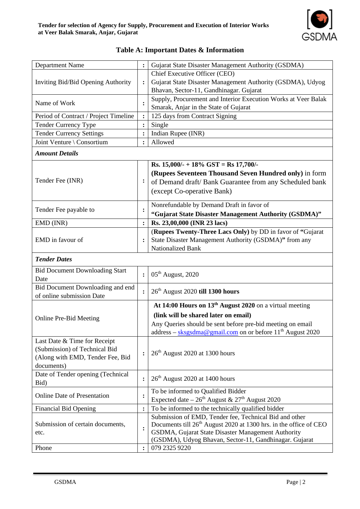| <b>Department Name</b>                |                | Gujarat State Disaster Management Authority (GSDMA)                                                                                 |
|---------------------------------------|----------------|-------------------------------------------------------------------------------------------------------------------------------------|
|                                       |                | Chief Executive Officer (CEO)                                                                                                       |
| Inviting Bid/Bid Opening Authority    | $\ddot{\cdot}$ | Gujarat State Disaster Management Authority (GSDMA), Udyog                                                                          |
|                                       |                | Bhavan, Sector-11, Gandhinagar. Gujarat                                                                                             |
| Name of Work                          |                | Supply, Procurement and Interior Execution Works at Veer Balak                                                                      |
| Period of Contract / Project Timeline | $\ddot{\cdot}$ | Smarak, Anjar in the State of Gujarat<br>125 days from Contract Signing                                                             |
| Tender Currency Type                  | $\ddot{\cdot}$ | Single                                                                                                                              |
| <b>Tender Currency Settings</b>       |                | Indian Rupee (INR)                                                                                                                  |
| Joint Venture \ Consortium            | $\ddot{\cdot}$ | Allowed                                                                                                                             |
|                                       |                |                                                                                                                                     |
| <b>Amount Details</b>                 |                |                                                                                                                                     |
|                                       |                | Rs. $15,000/ - 18\%$ GST = Rs 17,700/-                                                                                              |
|                                       |                | (Rupees Seventeen Thousand Seven Hundred only) in form                                                                              |
| Tender Fee (INR)                      | $\ddot{\cdot}$ | of Demand draft/ Bank Guarantee from any Scheduled bank                                                                             |
|                                       |                | (except Co-operative Bank)                                                                                                          |
|                                       |                | Nonrefundable by Demand Draft in favor of                                                                                           |
| Tender Fee payable to                 | $\ddot{\cdot}$ |                                                                                                                                     |
|                                       |                | "Gujarat State Disaster Management Authority (GSDMA)"                                                                               |
| EMD (INR)                             | $\ddot{\cdot}$ | Rs. 23,00,000 (INR 23 lacs)<br>(Rupees Twenty-Three Lacs Only) by DD in favor of "Gujarat"                                          |
| EMD in favour of                      |                | State Disaster Management Authority (GSDMA)" from any                                                                               |
|                                       |                | Nationalized Bank                                                                                                                   |
|                                       |                |                                                                                                                                     |
| <b>Tender Dates</b>                   |                |                                                                                                                                     |
| <b>Bid Document Downloading Start</b> | $\ddot{\cdot}$ | 05 <sup>th</sup> August, 2020                                                                                                       |
| Date                                  |                |                                                                                                                                     |
| Bid Document Downloading and end      |                | 26 <sup>th</sup> August 2020 till 1300 hours                                                                                        |
| of online submission Date             |                |                                                                                                                                     |
|                                       |                | At 14:00 Hours on 13 <sup>th</sup> August 2020 on a virtual meeting                                                                 |
| Online Pre-Bid Meeting                |                | (link will be shared later on email)                                                                                                |
|                                       |                | Any Queries should be sent before pre-bid meeting on email                                                                          |
|                                       |                | address – sksgsdma@gmail.com on or before $11th$ August 2020                                                                        |
| Last Date & Time for Receipt          |                |                                                                                                                                     |
| (Submission) of Technical Bid         | $\ddot{\cdot}$ | 26 <sup>th</sup> August 2020 at 1300 hours                                                                                          |
| (Along with EMD, Tender Fee, Bid      |                |                                                                                                                                     |
| documents)                            |                |                                                                                                                                     |
| Date of Tender opening (Technical     | $\ddot{\cdot}$ | $26th$ August 2020 at 1400 hours                                                                                                    |
| Bid)                                  |                |                                                                                                                                     |
| <b>Online Date of Presentation</b>    | $\ddot{\cdot}$ | To be informed to Qualified Bidder                                                                                                  |
|                                       |                | Expected date – $26^{\text{th}}$ August & $27^{\text{th}}$ August 2020                                                              |
| <b>Financial Bid Opening</b>          | $\ddot{\cdot}$ | To be informed to the technically qualified bidder                                                                                  |
| Submission of certain documents,      |                | Submission of EMD, Tender fee, Technical Bid and other                                                                              |
| etc.                                  | $\ddot{\cdot}$ | Documents till 26 <sup>th</sup> August 2020 at 1300 hrs. in the office of CEO<br>GSDMA, Gujarat State Disaster Management Authority |
|                                       |                | (GSDMA), Udyog Bhavan, Sector-11, Gandhinagar. Gujarat                                                                              |
| Phone                                 | $\ddot{\cdot}$ | 079 2325 9220                                                                                                                       |
|                                       |                |                                                                                                                                     |

#### **Table A: Important Dates & Information**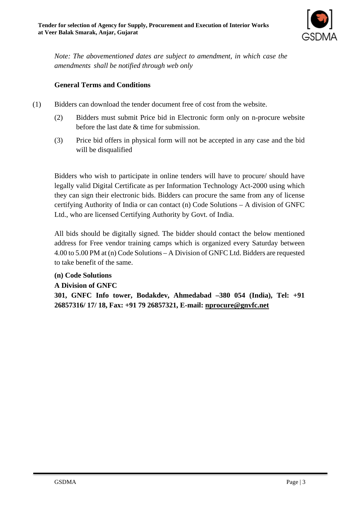

*Note: The abovementioned dates are subject to amendment, in which case the amendments shall be notified through web only*

#### **General Terms and Conditions**

- (1) Bidders can download the tender document free of cost from the website.
	- (2) Bidders must submit Price bid in Electronic form only on n-procure website before the last date & time for submission.
	- (3) Price bid offers in physical form will not be accepted in any case and the bid will be disqualified

Bidders who wish to participate in online tenders will have to procure/ should have legally valid Digital Certificate as per Information Technology Act-2000 using which they can sign their electronic bids. Bidders can procure the same from any of license certifying Authority of India or can contact (n) Code Solutions – A division of GNFC Ltd., who are licensed Certifying Authority by Govt. of India.

All bids should be digitally signed. The bidder should contact the below mentioned address for Free vendor training camps which is organized every Saturday between 4.00 to 5.00 PM at (n) Code Solutions – A Division of GNFC Ltd. Bidders are requested to take benefit of the same.

#### **(n) Code Solutions**

**A Division of GNFC** 

**301, GNFC Info tower, Bodakdev, Ahmedabad –380 054 (India), Tel: +91 26857316/ 17/ 18, Fax: +91 79 26857321, E-mail: nprocure@gnvfc.net**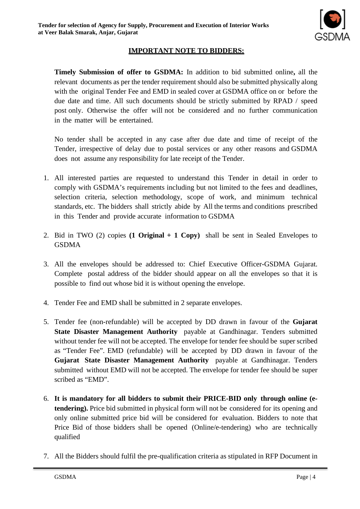

#### **IMPORTANT NOTE TO BIDDERS:**

**Timely Submission of offer to GSDMA:** In addition to bid submitted online**,** all the relevant documents as per the tender requirement should also be submitted physically along with the original Tender Fee and EMD in sealed cover at GSDMA office on or before the due date and time. All such documents should be strictly submitted by RPAD / speed post only. Otherwise the offer will not be considered and no further communication in the matter will be entertained.

No tender shall be accepted in any case after due date and time of receipt of the Tender, irrespective of delay due to postal services or any other reasons and GSDMA does not assume any responsibility for late receipt of the Tender.

- 1. All interested parties are requested to understand this Tender in detail in order to comply with GSDMA's requirements including but not limited to the fees and deadlines, selection criteria, selection methodology, scope of work, and minimum technical standards, etc. The bidders shall strictly abide by All the terms and conditions prescribed in this Tender and provide accurate information to GSDMA
- 2. Bid in TWO (2) copies **(1 Original + 1 Copy)** shall be sent in Sealed Envelopes to GSDMA
- 3. All the envelopes should be addressed to: Chief Executive Officer-GSDMA Gujarat. Complete postal address of the bidder should appear on all the envelopes so that it is possible to find out whose bid it is without opening the envelope.
- 4. Tender Fee and EMD shall be submitted in 2 separate envelopes.
- 5. Tender fee (non-refundable) will be accepted by DD drawn in favour of the **Gujarat State Disaster Management Authority** payable at Gandhinagar. Tenders submitted without tender fee will not be accepted. The envelope for tender fee should be super scribed as "Tender Fee". EMD (refundable) will be accepted by DD drawn in favour of the **Gujarat State Disaster Management Authority** payable at Gandhinagar. Tenders submitted without EMD will not be accepted. The envelope for tender fee should be super scribed as "EMD".
- 6. **It is mandatory for all bidders to submit their PRICE-BID only through online (etendering).** Price bid submitted in physical form will not be considered for its opening and only online submitted price bid will be considered for evaluation. Bidders to note that Price Bid of those bidders shall be opened (Online/e-tendering) who are technically qualified
- 7. All the Bidders should fulfil the pre-qualification criteria as stipulated in RFP Document in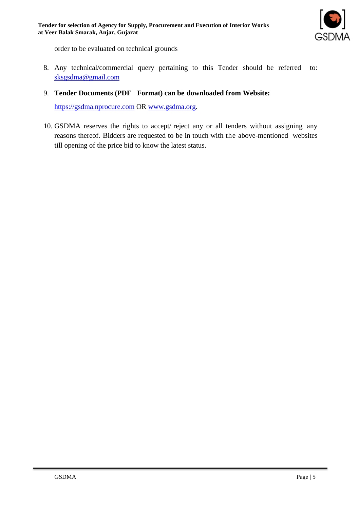

order to be evaluated on technical grounds

- 8. Any technical/commercial query pertaining to this Tender should be referred to: sksgsdma@gmail.com
- 9. **Tender Documents (PDF Format) can be downloaded from Website:**

[https://gsdma.nprocure.com](https://gsdma.nprocure.com/) OR [www.gsdma.org.](http://www.gsdma.org/)

10. GSDMA reserves the rights to accept/ reject any or all tenders without assigning any reasons thereof. Bidders are requested to be in touch with the above-mentioned websites till opening of the price bid to know the latest status.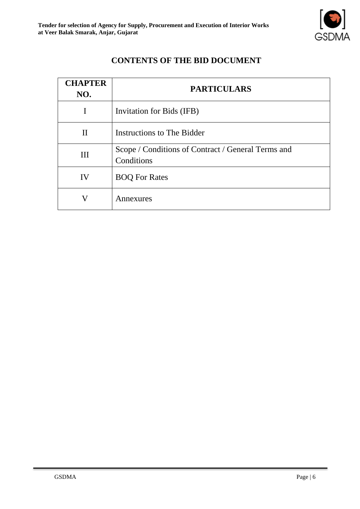

## **CONTENTS OF THE BID DOCUMENT**

| <b>CHAPTER</b><br>NO. | <b>PARTICULARS</b>                                               |
|-----------------------|------------------------------------------------------------------|
| I                     | Invitation for Bids (IFB)                                        |
| $\mathbf{I}$          | Instructions to The Bidder                                       |
| III                   | Scope / Conditions of Contract / General Terms and<br>Conditions |
| IV                    | <b>BOQ For Rates</b>                                             |
|                       | Annexures                                                        |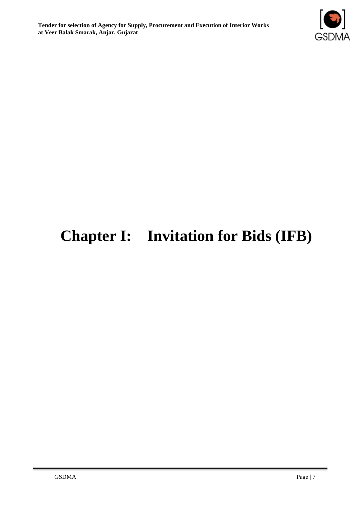

## **Chapter I: Invitation for Bids (IFB)**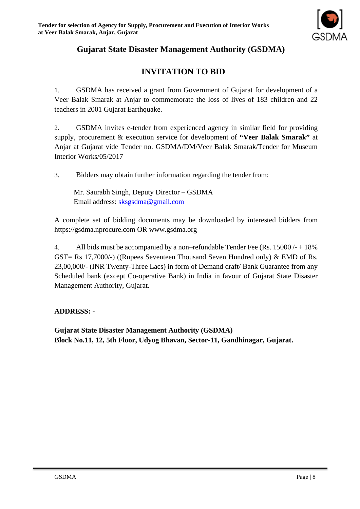

## **Gujarat State Disaster Management Authority (GSDMA)**

## **INVITATION TO BID**

1. GSDMA has received a grant from Government of Gujarat for development of a Veer Balak Smarak at Anjar to commemorate the loss of lives of 183 children and 22 teachers in 2001 Gujarat Earthquake.

2. GSDMA invites e-tender from experienced agency in similar field for providing supply, procurement & execution service for development of **"Veer Balak Smarak"** at Anjar at Gujarat vide Tender no. GSDMA/DM/Veer Balak Smarak/Tender for Museum Interior Works/05/2017

3. Bidders may obtain further information regarding the tender from:

Mr. Saurabh Singh, Deputy Director – GSDMA Email address: [sksgsdma@gmail.com](mailto:sksgsdma@gmail.com)

A complete set of bidding documents may be downloaded by interested bidders from https://gsdma.nprocure.com OR www.gsdma.org

4. All bids must be accompanied by a non–refundable Tender Fee (Rs. 15000 /- + 18% GST= Rs 17,7000/-) ((Rupees Seventeen Thousand Seven Hundred only) & EMD of Rs. 23,00,000/- (INR Twenty-Three Lacs) in form of Demand draft/ Bank Guarantee from any Scheduled bank (except Co-operative Bank) in India in favour of Gujarat State Disaster Management Authority, Gujarat.

#### **ADDRESS: -**

**Gujarat State Disaster Management Authority (GSDMA) Block No.11, 12, 5th Floor, Udyog Bhavan, Sector-11, Gandhinagar, Gujarat.**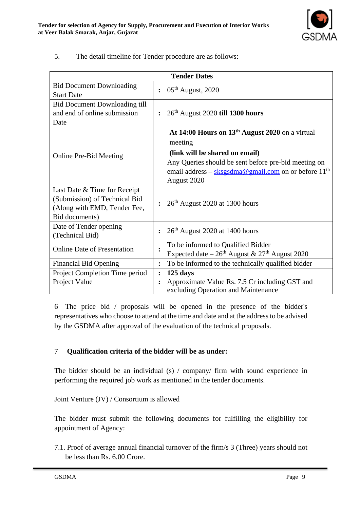

5. The detail timeline for Tender procedure are as follows:

| <b>Tender Dates</b>                  |                      |                                                                         |  |
|--------------------------------------|----------------------|-------------------------------------------------------------------------|--|
| <b>Bid Document Downloading</b>      | $\ddot{\cdot}$       | $05th$ August, 2020                                                     |  |
| <b>Start Date</b>                    |                      |                                                                         |  |
| <b>Bid Document Downloading till</b> |                      |                                                                         |  |
| and end of online submission         | $\ddot{\phantom{a}}$ | 26 <sup>th</sup> August 2020 till 1300 hours                            |  |
| Date                                 |                      |                                                                         |  |
|                                      |                      | At 14:00 Hours on 13 <sup>th</sup> August 2020 on a virtual             |  |
|                                      |                      | meeting                                                                 |  |
| <b>Online Pre-Bid Meeting</b>        |                      | (link will be shared on email)                                          |  |
|                                      |                      | Any Queries should be sent before pre-bid meeting on                    |  |
|                                      |                      | email address – sksgsdma@gmail.com on or before 11 <sup>th</sup>        |  |
|                                      |                      | August 2020                                                             |  |
| Last Date & Time for Receipt         |                      |                                                                         |  |
| (Submission) of Technical Bid        |                      | 26 <sup>th</sup> August 2020 at 1300 hours                              |  |
| (Along with EMD, Tender Fee,         |                      |                                                                         |  |
| Bid documents)                       |                      |                                                                         |  |
| Date of Tender opening               | $\ddot{\phantom{a}}$ | $26th$ August 2020 at 1400 hours                                        |  |
| (Technical Bid)                      |                      |                                                                         |  |
| <b>Online Date of Presentation</b>   |                      | To be informed to Qualified Bidder                                      |  |
|                                      |                      | Expected date $-26$ <sup>th</sup> August & 27 <sup>th</sup> August 2020 |  |
| <b>Financial Bid Opening</b>         | $\ddot{\cdot}$       | To be informed to the technically qualified bidder                      |  |
| Project Completion Time period       | $\ddot{\cdot}$       | $125$ days                                                              |  |
| Project Value                        | $\ddot{\phantom{a}}$ | Approximate Value Rs. 7.5 Cr including GST and                          |  |
|                                      |                      | excluding Operation and Maintenance                                     |  |

6 The price bid / proposals will be opened in the presence of the bidder's representatives who choose to attend at the time and date and at the address to be advised by the GSDMA after approval of the evaluation of the technical proposals.

#### 7 **Qualification criteria of the bidder will be as under:**

The bidder should be an individual (s) / company/ firm with sound experience in performing the required job work as mentioned in the tender documents.

Joint Venture (JV) / Consortium is allowed

The bidder must submit the following documents for fulfilling the eligibility for appointment of Agency:

7.1. Proof of average annual financial turnover of the firm/s 3 (Three) years should not be less than Rs. 6.00 Crore.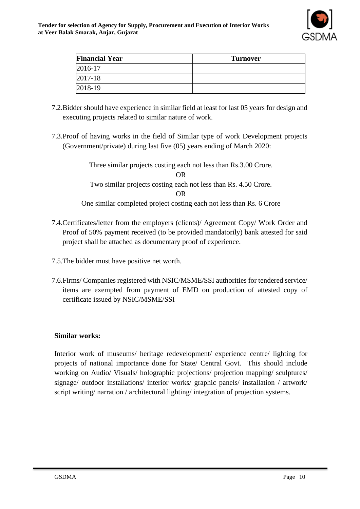

| <b>Financial Year</b> | <b>Turnover</b> |
|-----------------------|-----------------|
| 2016-17               |                 |
| 2017-18               |                 |
| 2018-19               |                 |

- 7.2.Bidder should have experience in similar field at least for last 05 years for design and executing projects related to similar nature of work.
- 7.3.Proof of having works in the field of Similar type of work Development projects (Government/private) during last five (05) years ending of March 2020:

Three similar projects costing each not less than Rs.3.00 Crore. OR Two similar projects costing each not less than Rs. 4.50 Crore. OR One similar completed project costing each not less than Rs. 6 Crore

- 7.4.Certificates/letter from the employers (clients)/ Agreement Copy/ Work Order and Proof of 50% payment received (to be provided mandatorily) bank attested for said project shall be attached as documentary proof of experience.
- 7.5.The bidder must have positive net worth.
- 7.6.Firms/ Companies registered with NSIC/MSME/SSI authorities for tendered service/ items are exempted from payment of EMD on production of attested copy of certificate issued by NSIC/MSME/SSI

#### **Similar works:**

Interior work of museums/ heritage redevelopment/ experience centre/ lighting for projects of national importance done for State/ Central Govt. This should include working on Audio/ Visuals/ holographic projections/ projection mapping/ sculptures/ signage/ outdoor installations/ interior works/ graphic panels/ installation / artwork/ script writing/ narration / architectural lighting/ integration of projection systems.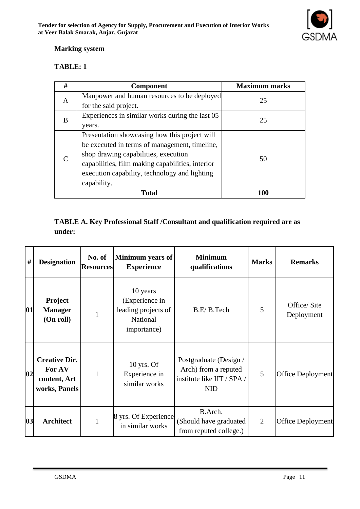

#### **Marking system**

#### **TABLE: 1**

| # | <b>Component</b>                                 | <b>Maximum marks</b> |  |
|---|--------------------------------------------------|----------------------|--|
| A | Manpower and human resources to be deployed      | 25                   |  |
|   | for the said project.                            |                      |  |
| B | Experiences in similar works during the last 05  | 25                   |  |
|   | years.                                           |                      |  |
|   | Presentation showcasing how this project will    |                      |  |
|   | be executed in terms of management, timeline,    |                      |  |
|   | shop drawing capabilities, execution             | 50                   |  |
|   | capabilities, film making capabilities, interior |                      |  |
|   | execution capability, technology and lighting    |                      |  |
|   | capability.                                      |                      |  |
|   | Total                                            | 100                  |  |

#### **TABLE A. Key Professional Staff /Consultant and qualification required are as under:**

| $\#$ | <b>Designation</b>                                              | No. of<br><b>Resources</b> | <b>Minimum</b> years of<br><b>Experience</b>                                 | <b>Minimum</b><br>qualifications                                                           | <b>Marks</b>   | <b>Remarks</b>            |
|------|-----------------------------------------------------------------|----------------------------|------------------------------------------------------------------------------|--------------------------------------------------------------------------------------------|----------------|---------------------------|
| 01   | Project<br><b>Manager</b><br>(On roll)                          | $\mathbf{1}$               | 10 years<br>(Experience in<br>leading projects of<br>National<br>importance) | B.E/B.Tech                                                                                 | 5              | Office/Site<br>Deployment |
| 02   | <b>Creative Dir.</b><br>For AV<br>content, Art<br>works, Panels | 1                          | $10$ yrs. Of<br>Experience in<br>similar works                               | Postgraduate (Design /<br>Arch) from a reputed<br>institute like IIT / SPA /<br><b>NID</b> | 5              | Office Deployment         |
| 03   | <b>Architect</b>                                                | 1                          | 8 yrs. Of Experience<br>in similar works                                     | B.Arch.<br>(Should have graduated<br>from reputed college.)                                | $\overline{2}$ | Office Deployment         |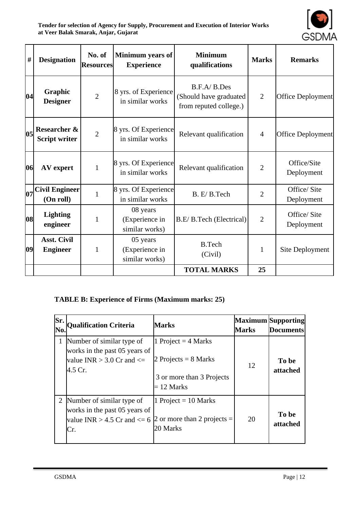**Tender for selection of Agency for Supply, Procurement and Execution of Interior Works at Veer Balak Smarak, Anjar, Gujarat**



| $\#$ | <b>Designation</b>                    | No. of<br><b>Resources</b> | Minimum years of<br><b>Experience</b>        | <b>Minimum</b><br>qualifications                                | <b>Marks</b>   | <b>Remarks</b>            |
|------|---------------------------------------|----------------------------|----------------------------------------------|-----------------------------------------------------------------|----------------|---------------------------|
| 04   | Graphic<br><b>Designer</b>            | $\overline{2}$             | 8 yrs. of Experience<br>in similar works     | B.F.A/B.Des<br>(Should have graduated<br>from reputed college.) | $\overline{2}$ | Office Deployment         |
| 05   | Researcher &<br><b>Script writer</b>  | $\overline{2}$             | 8 yrs. Of Experience<br>in similar works     | Relevant qualification                                          | $\overline{4}$ | Office Deployment         |
| 06   | AV expert                             | $\mathbf{1}$               | 8 yrs. Of Experience<br>in similar works     | Relevant qualification                                          | $\overline{2}$ | Office/Site<br>Deployment |
| 07   | <b>Civil Engineer</b><br>(On roll)    | $\mathbf{1}$               | 8 yrs. Of Experience<br>in similar works     | B. E/B. Tech                                                    | $\overline{2}$ | Office/Site<br>Deployment |
| 08   | <b>Lighting</b><br>engineer           | $\mathbf{1}$               | 08 years<br>(Experience in<br>similar works) | B.E/B.Tech (Electrical)                                         | $\overline{2}$ | Office/Site<br>Deployment |
| 09   | <b>Asst. Civil</b><br><b>Engineer</b> | $\mathbf{1}$               | 05 years<br>(Experience in<br>similar works) | <b>B.Tech</b><br>(Civil)                                        | $\mathbf{1}$   | Site Deployment           |
|      |                                       |                            |                                              | <b>TOTAL MARKS</b>                                              | 25             |                           |

#### **TABLE B: Experience of Firms (Maximum marks: 25)**

| Sr.<br>No.     | Qualification Criteria                                                                                  | <b>Marks</b>                                                                                 | <b>Marks</b> | <b>Maximum Supporting</b><br><b>Documents</b> |
|----------------|---------------------------------------------------------------------------------------------------------|----------------------------------------------------------------------------------------------|--------------|-----------------------------------------------|
|                | Number of similar type of<br>works in the past 05 years of<br>value INR $>$ 3.0 Cr and $\le$<br>4.5 Cr. | 1 Project = $4$ Marks<br>2 Projects = $8$ Marks<br>3 or more than 3 Projects<br>$= 12$ Marks | 12           | To be<br>attached                             |
| $\overline{2}$ | Number of similar type of<br>works in the past 05 years of<br>value INR $> 4.5$ Cr and $\leq 6$<br>Cr.  | 1 Project = $10$ Marks<br>2 or more than 2 projects $=$<br>20 Marks                          | 20           | To be<br>attached                             |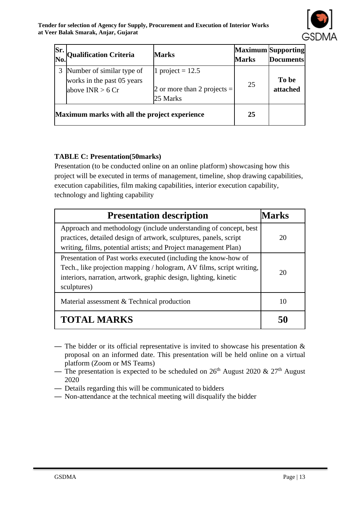

| Sr.<br>No. | <b>Qualification Criteria</b>                                                 | <b>Marks</b>                                                    | <b>Marks</b> | Maximum Supporting<br><b>Documents</b> |
|------------|-------------------------------------------------------------------------------|-----------------------------------------------------------------|--------------|----------------------------------------|
|            | Number of similar type of<br>works in the past 05 years<br>above INR $> 6 Cr$ | 1 project = $12.5$<br>2 or more than 2 projects $=$<br>25 Marks | 25           | To be<br>attached                      |
|            | Maximum marks with all the project experience                                 |                                                                 | 25           |                                        |

## **TABLE C: Presentation(50marks)**

Presentation (to be conducted online on an online platform) showcasing how this project will be executed in terms of management, timeline, shop drawing capabilities, execution capabilities, film making capabilities, interior execution capability, technology and lighting capability

| <b>Presentation description</b>                                                                                                                                                                                           | Marks |
|---------------------------------------------------------------------------------------------------------------------------------------------------------------------------------------------------------------------------|-------|
| Approach and methodology (include understanding of concept, best<br>practices, detailed design of artwork, sculptures, panels, script<br>writing, films, potential artists; and Project management Plan)                  | 20    |
| Presentation of Past works executed (including the know-how of<br>Tech., like projection mapping / hologram, AV films, script writing,<br>interiors, narration, artwork, graphic design, lighting, kinetic<br>sculptures) | 20    |
| Material assessment & Technical production                                                                                                                                                                                | 10    |
| <b>TOTAL MARKS</b>                                                                                                                                                                                                        |       |

- The bidder or its official representative is invited to showcase his presentation & proposal on an informed date. This presentation will be held online on a virtual platform (Zoom or MS Teams)
- The presentation is expected to be scheduled on  $26<sup>th</sup>$  August 2020 &  $27<sup>th</sup>$  August 2020
- Details regarding this will be communicated to bidders
- Non-attendance at the technical meeting will disqualify the bidder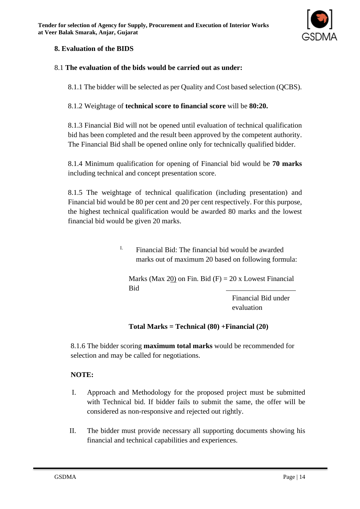

#### **8. Evaluation of the BIDS**

#### 8.1 **The evaluation of the bids would be carried out as under:**

8.1.1 The bidder will be selected as per Quality and Cost based selection (QCBS).

8.1.2 Weightage of **technical score to financial score** will be **80:20.**

8.1.3 Financial Bid will not be opened until evaluation of technical qualification bid has been completed and the result been approved by the competent authority. The Financial Bid shall be opened online only for technically qualified bidder.

8.1.4 Minimum qualification for opening of Financial bid would be **70 marks** including technical and concept presentation score.

8.1.5 The weightage of technical qualification (including presentation) and Financial bid would be 80 per cent and 20 per cent respectively. For this purpose, the highest technical qualification would be awarded 80 marks and the lowest financial bid would be given 20 marks.

> $I.$  Financial Bid: The financial bid would be awarded marks out of maximum 20 based on following formula:

Marks (Max 20) on Fin. Bid  $(F) = 20x$  Lowest Financial Bid

> Financial Bid under evaluation

**Total Marks = Technical (80) +Financial (20)**

8.1.6 The bidder scoring **maximum total marks** would be recommended for selection and may be called for negotiations.

#### **NOTE:**

- I. Approach and Methodology for the proposed project must be submitted with Technical bid. If bidder fails to submit the same, the offer will be considered as non-responsive and rejected out rightly.
- II. The bidder must provide necessary all supporting documents showing his financial and technical capabilities and experiences.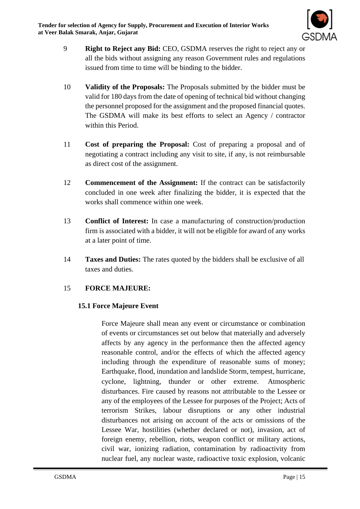

- 9 **Right to Reject any Bid:** CEO, GSDMA reserves the right to reject any or all the bids without assigning any reason Government rules and regulations issued from time to time will be binding to the bidder.
- 10 **Validity of the Proposals:** The Proposals submitted by the bidder must be valid for 180 days from the date of opening of technical bid without changing the personnel proposed for the assignment and the proposed financial quotes. The GSDMA will make its best efforts to select an Agency / contractor within this Period.
- 11 **Cost of preparing the Proposal:** Cost of preparing a proposal and of negotiating a contract including any visit to site, if any, is not reimbursable as direct cost of the assignment.
- 12 **Commencement of the Assignment:** If the contract can be satisfactorily concluded in one week after finalizing the bidder, it is expected that the works shall commence within one week.
- 13 **Conflict of Interest:** In case a manufacturing of construction/production firm is associated with a bidder, it will not be eligible for award of any works at a later point of time.
- 14 **Taxes and Duties:** The rates quoted by the bidders shall be exclusive of all taxes and duties.

#### 15 **FORCE MAJEURE:**

#### **15.1 Force Majeure Event**

Force Majeure shall mean any event or circumstance or combination of events or circumstances set out below that materially and adversely affects by any agency in the performance then the affected agency reasonable control, and/or the effects of which the affected agency including through the expenditure of reasonable sums of money; Earthquake, flood, inundation and landslide Storm, tempest, hurricane, cyclone, lightning, thunder or other extreme. Atmospheric disturbances. Fire caused by reasons not attributable to the Lessee or any of the employees of the Lessee for purposes of the Project; Acts of terrorism Strikes, labour disruptions or any other industrial disturbances not arising on account of the acts or omissions of the Lessee War, hostilities (whether declared or not), invasion, act of foreign enemy, rebellion, riots, weapon conflict or military actions, civil war, ionizing radiation, contamination by radioactivity from nuclear fuel, any nuclear waste, radioactive toxic explosion, volcanic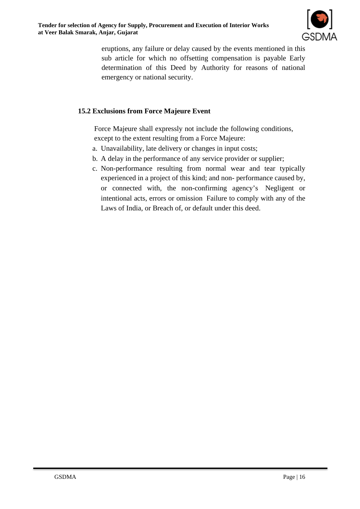

eruptions, any failure or delay caused by the events mentioned in this sub article for which no offsetting compensation is payable Early determination of this Deed by Authority for reasons of national emergency or national security.

#### **15.2 Exclusions from Force Majeure Event**

Force Majeure shall expressly not include the following conditions, except to the extent resulting from a Force Majeure:

- a. Unavailability, late delivery or changes in input costs;
- b. A delay in the performance of any service provider or supplier;
- c. Non-performance resulting from normal wear and tear typically experienced in a project of this kind; and non- performance caused by, or connected with, the non-confirming agency's Negligent or intentional acts, errors or omission Failure to comply with any of the Laws of India, or Breach of, or default under this deed.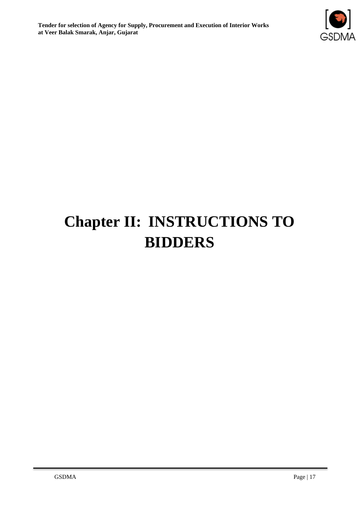

# **Chapter II: INSTRUCTIONS TO BIDDERS**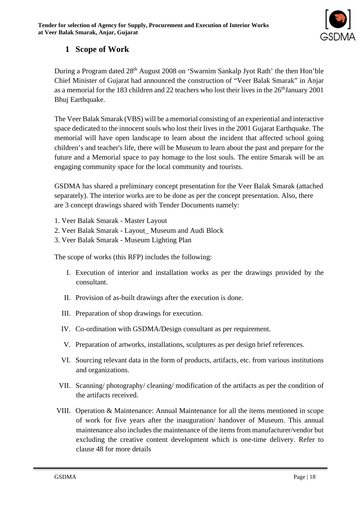

## **1 Scope of Work**

During a Program dated 28<sup>th</sup> August 2008 on 'Swarnim Sankalp Jyot Rath' the then Hon'ble Chief Minister of Gujarat had announced the construction of "Veer Balak Smarak" in Anjar as a memorial for the 183 children and 22 teachers who lost their lives in the 26<sup>th</sup>January 2001 Bhuj Earthquake.

The Veer Balak Smarak (VBS) will be a memorial consisting of an experiential and interactive space dedicated to the innocent souls who lost their lives in the 2001 Gujarat Earthquake. The memorial will have open landscape to learn about the incident that affected school going children's and teacher's life, there will be Museum to learn about the past and prepare for the future and a Memorial space to pay homage to the lost souls. The entire Smarak will be an engaging community space for the local community and tourists.

GSDMA has shared a preliminary concept presentation for the Veer Balak Smarak (attached separately). The interior works are to be done as per the concept presentation. Also, there are 3 concept drawings shared with Tender Documents namely:

- 1. Veer Balak Smarak Master Layout
- 2. Veer Balak Smarak Layout\_ Museum and Audi Block
- 3. Veer Balak Smarak Museum Lighting Plan

The scope of works (this RFP) includes the following:

- I. Execution of interior and installation works as per the drawings provided by the consultant.
- II. Provision of as-built drawings after the execution is done.
- III. Preparation of shop drawings for execution.
- IV. Co-ordination with GSDMA/Design consultant as per requirement.
- V. Preparation of artworks, installations, sculptures as per design brief references.
- VI. Sourcing relevant data in the form of products, artifacts, etc. from various institutions and organizations.
- VII. Scanning/ photography/ cleaning/ modification of the artifacts as per the condition of the artifacts received.
- VIII. Operation & Maintenance: Annual Maintenance for all the items mentioned in scope of work for five years after the inauguration/ handover of Museum. This annual maintenance also includes the maintenance of the items from manufacturer/vendor but excluding the creative content development which is one-time delivery. Refer to clause 48 for more details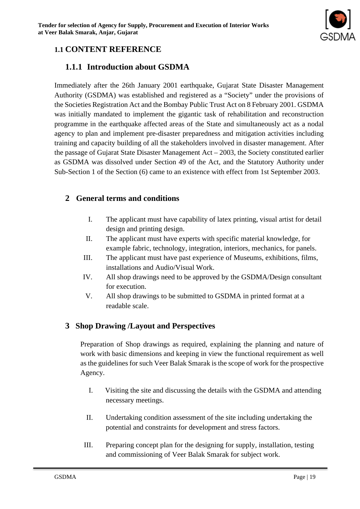

## **1.1 CONTENT REFERENCE**

## **1.1.1 Introduction about GSDMA**

Immediately after the 26th January 2001 earthquake, Gujarat State Disaster Management Authority (GSDMA) was established and registered as a "Society" under the provisions of the Societies Registration Act and the Bombay Public Trust Act on 8 February 2001. GSDMA was initially mandated to implement the gigantic task of rehabilitation and reconstruction programme in the earthquake affected areas of the State and simultaneously act as a nodal agency to plan and implement pre-disaster preparedness and mitigation activities including training and capacity building of all the stakeholders involved in disaster management. After the passage of Gujarat State Disaster Management Act – 2003, the Society constituted earlier as GSDMA was dissolved under Section 49 of the Act, and the Statutory Authority under Sub-Section 1 of the Section (6) came to an existence with effect from 1st September 2003.

## **2 General terms and conditions**

- I. The applicant must have capability of latex printing, visual artist for detail design and printing design.
- II. The applicant must have experts with specific material knowledge, for example fabric, technology, integration, interiors, mechanics, for panels.
- III. The applicant must have past experience of Museums, exhibitions, films, installations and Audio/Visual Work.
- IV. All shop drawings need to be approved by the GSDMA/Design consultant for execution.
- V. All shop drawings to be submitted to GSDMA in printed format at a readable scale.

## **3 Shop Drawing /Layout and Perspectives**

Preparation of Shop drawings as required, explaining the planning and nature of work with basic dimensions and keeping in view the functional requirement as well as the guidelines for such Veer Balak Smarak is the scope of work for the prospective Agency.

- I. Visiting the site and discussing the details with the GSDMA and attending necessary meetings.
- II. Undertaking condition assessment of the site including undertaking the potential and constraints for development and stress factors.
- III. Preparing concept plan for the designing for supply, installation, testing and commissioning of Veer Balak Smarak for subject work.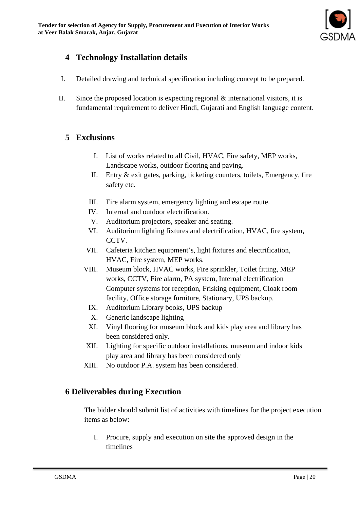

## **4 Technology Installation details**

- I. Detailed drawing and technical specification including concept to be prepared.
- II. Since the proposed location is expecting regional  $\&$  international visitors, it is fundamental requirement to deliver Hindi, Gujarati and English language content.

#### **5 Exclusions**

- I. List of works related to all Civil, HVAC, Fire safety, MEP works, Landscape works, outdoor flooring and paving.
- II. Entry & exit gates, parking, ticketing counters, toilets, Emergency, fire safety etc.
- III. Fire alarm system, emergency lighting and escape route.
- IV. Internal and outdoor electrification.
- V. Auditorium projectors, speaker and seating.
- VI. Auditorium lighting fixtures and electrification, HVAC, fire system, CCTV.
- VII. Cafeteria kitchen equipment's, light fixtures and electrification, HVAC, Fire system, MEP works.
- VIII. Museum block, HVAC works, Fire sprinkler, Toilet fitting, MEP works, CCTV, Fire alarm, PA system, Internal electrification Computer systems for reception, Frisking equipment, Cloak room facility, Office storage furniture, Stationary, UPS backup.
	- IX. Auditorium Library books, UPS backup
	- X. Generic landscape lighting
	- XI. Vinyl flooring for museum block and kids play area and library has been considered only.
- XII. Lighting for specific outdoor installations, museum and indoor kids play area and library has been considered only
- XIII. No outdoor P.A. system has been considered.

## **6 Deliverables during Execution**

The bidder should submit list of activities with timelines for the project execution items as below:

I. Procure, supply and execution on site the approved design in the timelines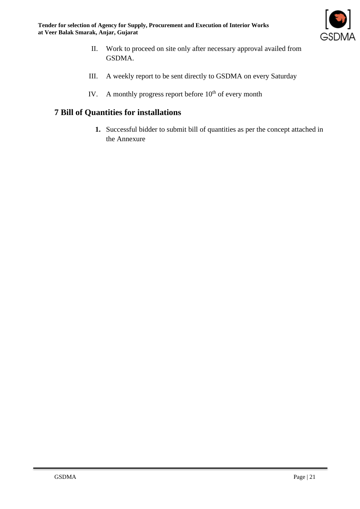

- II. Work to proceed on site only after necessary approval availed from GSDMA.
- III. A weekly report to be sent directly to GSDMA on every Saturday
- IV. A monthly progress report before  $10<sup>th</sup>$  of every month

## **7 Bill of Quantities for installations**

**1.** Successful bidder to submit bill of quantities as per the concept attached in the Annexure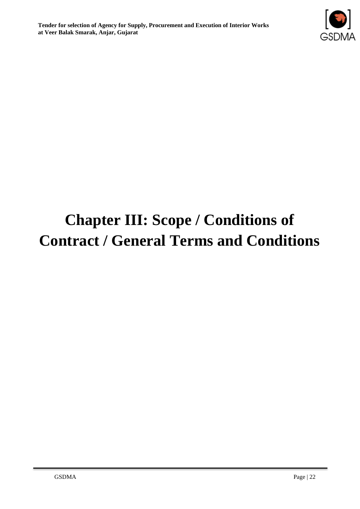

# **Chapter III: Scope / Conditions of Contract / General Terms and Conditions**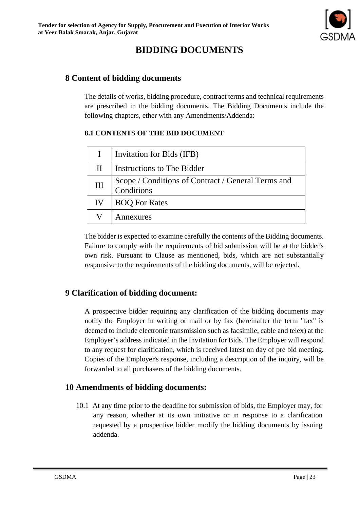## **BIDDING DOCUMENTS**

## **8 Content of bidding documents**

The details of works, bidding procedure, contract terms and technical requirements are prescribed in the bidding documents. The Bidding Documents include the following chapters, ether with any Amendments/Addenda:

#### **8.1 CONTENT**S **OF THE BID DOCUMENT**

|              | Invitation for Bids (IFB)                                        |
|--------------|------------------------------------------------------------------|
| $\mathbf{H}$ | Instructions to The Bidder                                       |
| III          | Scope / Conditions of Contract / General Terms and<br>Conditions |
| IV           | <b>BOQ For Rates</b>                                             |
|              | Annexures                                                        |

The bidder is expected to examine carefully the contents of the Bidding documents. Failure to comply with the requirements of bid submission will be at the bidder's own risk. Pursuant to Clause as mentioned, bids, which are not substantially responsive to the requirements of the bidding documents, will be rejected.

## **9 Clarification of bidding document:**

A prospective bidder requiring any clarification of the bidding documents may notify the Employer in writing or mail or by fax (hereinafter the term "fax" is deemed to include electronic transmission such as facsimile, cable and telex) at the Employer's address indicated in the Invitation for Bids. The Employer will respond to any request for clarification, which is received latest on day of pre bid meeting. Copies of the Employer's response, including a description of the inquiry, will be forwarded to all purchasers of the bidding documents.

## **10 Amendments of bidding documents:**

10.1 At any time prior to the deadline for submission of bids, the Employer may, for any reason, whether at its own initiative or in response to a clarification requested by a prospective bidder modify the bidding documents by issuing addenda.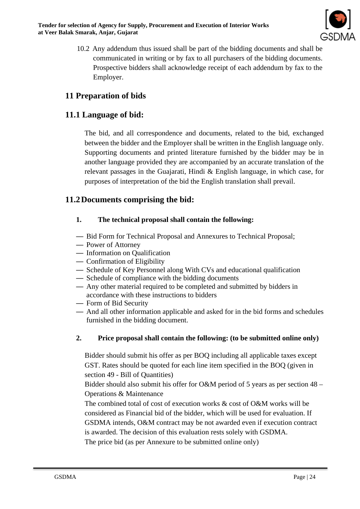**Tender for selection of Agency for Supply, Procurement and Execution of Interior Works at Veer Balak Smarak, Anjar, Gujarat**



10.2 Any addendum thus issued shall be part of the bidding documents and shall be communicated in writing or by fax to all purchasers of the bidding documents. Prospective bidders shall acknowledge receipt of each addendum by fax to the Employer.

## **11 Preparation of bids**

## **11.1 Language of bid:**

The bid, and all correspondence and documents, related to the bid, exchanged between the bidder and the Employer shall be written in the English language only. Supporting documents and printed literature furnished by the bidder may be in another language provided they are accompanied by an accurate translation of the relevant passages in the Guajarati, Hindi & English language, in which case, for purposes of interpretation of the bid the English translation shall prevail.

## **11.2Documents comprising the bid:**

#### **1. The technical proposal shall contain the following:**

- Bid Form for Technical Proposal and Annexures to Technical Proposal;
- Power of Attorney
- Information on Qualification
- Confirmation of Eligibility
- Schedule of Key Personnel along With CVs and educational qualification
- Schedule of compliance with the bidding documents
- Any other material required to be completed and submitted by bidders in accordance with these instructions to bidders
- Form of Bid Security
- And all other information applicable and asked for in the bid forms and schedules furnished in the bidding document.

## **2. Price proposal shall contain the following: (to be submitted online only)**

Bidder should submit his offer as per BOQ including all applicable taxes except GST. Rates should be quoted for each line item specified in the BOQ (given in section 49 - Bill of Quantities)

Bidder should also submit his offer for O&M period of 5 years as per section 48 – Operations & Maintenance

The combined total of cost of execution works & cost of O&M works will be considered as Financial bid of the bidder, which will be used for evaluation. If GSDMA intends, O&M contract may be not awarded even if execution contract is awarded. The decision of this evaluation rests solely with GSDMA. The price bid (as per Annexure to be submitted online only)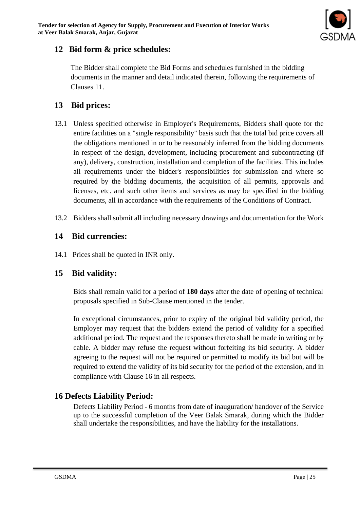

## **12 Bid form & price schedules:**

The Bidder shall complete the Bid Forms and schedules furnished in the bidding documents in the manner and detail indicated therein, following the requirements of Clauses 11.

## **13 Bid prices:**

- 13.1 Unless specified otherwise in Employer's Requirements, Bidders shall quote for the entire facilities on a "single responsibility" basis such that the total bid price covers all the obligations mentioned in or to be reasonably inferred from the bidding documents in respect of the design, development, including procurement and subcontracting (if any), delivery, construction, installation and completion of the facilities. This includes all requirements under the bidder's responsibilities for submission and where so required by the bidding documents, the acquisition of all permits, approvals and licenses, etc. and such other items and services as may be specified in the bidding documents, all in accordance with the requirements of the Conditions of Contract.
- 13.2 Bidders shall submit all including necessary drawings and documentation for the Work

## **14 Bid currencies:**

14.1 Prices shall be quoted in INR only.

## **15 Bid validity:**

Bids shall remain valid for a period of **180 days** after the date of opening of technical proposals specified in Sub-Clause mentioned in the tender.

In exceptional circumstances, prior to expiry of the original bid validity period, the Employer may request that the bidders extend the period of validity for a specified additional period. The request and the responses thereto shall be made in writing or by cable. A bidder may refuse the request without forfeiting its bid security. A bidder agreeing to the request will not be required or permitted to modify its bid but will be required to extend the validity of its bid security for the period of the extension, and in compliance with Clause 16 in all respects.

## **16 Defects Liability Period:**

Defects Liability Period - 6 months from date of inauguration/ handover of the Service up to the successful completion of the Veer Balak Smarak, during which the Bidder shall undertake the responsibilities, and have the liability for the installations.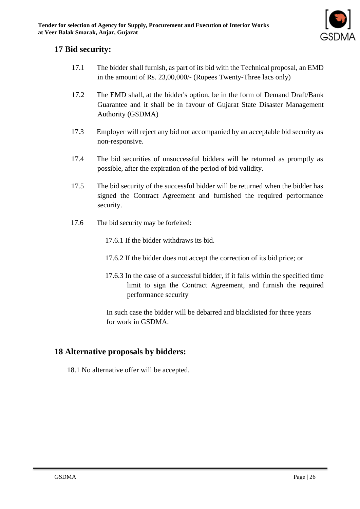

## **17 Bid security:**

- 17.1 The bidder shall furnish, as part of its bid with the Technical proposal, an EMD in the amount of Rs. 23,00,000/- (Rupees Twenty-Three lacs only)
- 17.2 The EMD shall, at the bidder's option, be in the form of Demand Draft/Bank Guarantee and it shall be in favour of Gujarat State Disaster Management Authority (GSDMA)
- 17.3 Employer will reject any bid not accompanied by an acceptable bid security as non-responsive.
- 17.4 The bid securities of unsuccessful bidders will be returned as promptly as possible, after the expiration of the period of bid validity.
- 17.5 The bid security of the successful bidder will be returned when the bidder has signed the Contract Agreement and furnished the required performance security.
- 17.6 The bid security may be forfeited:

17.6.1 If the bidder withdraws its bid.

- 17.6.2 If the bidder does not accept the correction of its bid price; or
- 17.6.3 In the case of a successful bidder, if it fails within the specified time limit to sign the Contract Agreement, and furnish the required performance security

In such case the bidder will be debarred and blacklisted for three years for work in GSDMA.

## **18 Alternative proposals by bidders:**

18.1 No alternative offer will be accepted.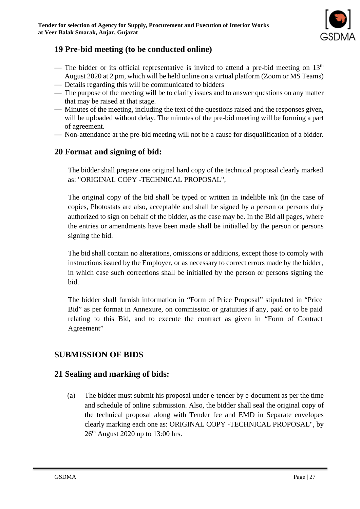

## **19 Pre-bid meeting (to be conducted online)**

- The bidder or its official representative is invited to attend a pre-bid meeting on  $13<sup>th</sup>$ August 2020 at 2 pm, which will be held online on a virtual platform (Zoom or MS Teams)
- Details regarding this will be communicated to bidders
- The purpose of the meeting will be to clarify issues and to answer questions on any matter that may be raised at that stage.
- Minutes of the meeting, including the text of the questions raised and the responses given, will be uploaded without delay. The minutes of the pre-bid meeting will be forming a part of agreement.
- Non-attendance at the pre-bid meeting will not be a cause for disqualification of a bidder.

## **20 Format and signing of bid:**

The bidder shall prepare one original hard copy of the technical proposal clearly marked as: "ORIGINAL COPY -TECHNICAL PROPOSAL",

The original copy of the bid shall be typed or written in indelible ink (in the case of copies, Photostats are also, acceptable and shall be signed by a person or persons duly authorized to sign on behalf of the bidder, as the case may be. In the Bid all pages, where the entries or amendments have been made shall be initialled by the person or persons signing the bid.

The bid shall contain no alterations, omissions or additions, except those to comply with instructions issued by the Employer, or as necessary to correct errors made by the bidder, in which case such corrections shall be initialled by the person or persons signing the bid.

The bidder shall furnish information in "Form of Price Proposal" stipulated in "Price Bid" as per format in Annexure, on commission or gratuities if any, paid or to be paid relating to this Bid, and to execute the contract as given in "Form of Contract Agreement"

## **SUBMISSION OF BIDS**

## **21 Sealing and marking of bids:**

(a) The bidder must submit his proposal under e-tender by e-document as per the time and schedule of online submission. Also, the bidder shall seal the original copy of the technical proposal along with Tender fee and EMD in Separate envelopes clearly marking each one as: ORIGINAL COPY -TECHNICAL PROPOSAL", by  $26<sup>th</sup>$  August 2020 up to 13:00 hrs.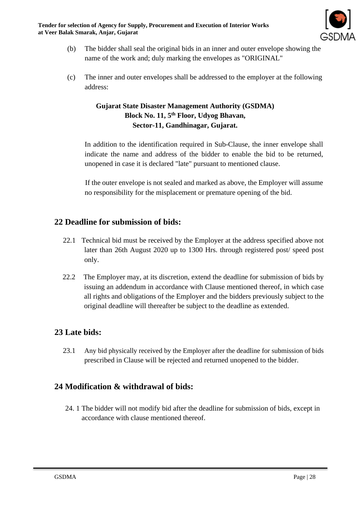**Tender for selection of Agency for Supply, Procurement and Execution of Interior Works at Veer Balak Smarak, Anjar, Gujarat**



- (b) The bidder shall seal the original bids in an inner and outer envelope showing the name of the work and; duly marking the envelopes as "ORIGINAL"
- (c) The inner and outer envelopes shall be addressed to the employer at the following address:

#### **Gujarat State Disaster Management Authority (GSDMA) Block No. 11, 5th Floor, Udyog Bhavan, Sector-11, Gandhinagar, Gujarat.**

In addition to the identification required in Sub-Clause, the inner envelope shall indicate the name and address of the bidder to enable the bid to be returned, unopened in case it is declared "late" pursuant to mentioned clause.

If the outer envelope is not sealed and marked as above, the Employer will assume no responsibility for the misplacement or premature opening of the bid.

## **22 Deadline for submission of bids:**

- 22.1 Technical bid must be received by the Employer at the address specified above not later than 26th August 2020 up to 1300 Hrs. through registered post/ speed post only.
- 22.2 The Employer may, at its discretion, extend the deadline for submission of bids by issuing an addendum in accordance with Clause mentioned thereof, in which case all rights and obligations of the Employer and the bidders previously subject to the original deadline will thereafter be subject to the deadline as extended.

#### **23 Late bids:**

23.1 Any bid physically received by the Employer after the deadline for submission of bids prescribed in Clause will be rejected and returned unopened to the bidder.

## **24 Modification & withdrawal of bids:**

24. 1 The bidder will not modify bid after the deadline for submission of bids, except in accordance with clause mentioned thereof.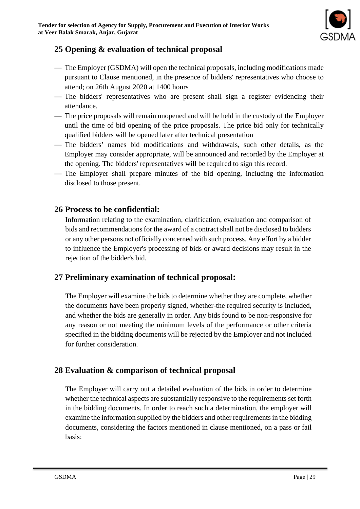

## **25 Opening & evaluation of technical proposal**

- The Employer (GSDMA) will open the technical proposals, including modifications made pursuant to Clause mentioned, in the presence of bidders' representatives who choose to attend; on 26th August 2020 at 1400 hours
- The bidders' representatives who are present shall sign a register evidencing their attendance.
- The price proposals will remain unopened and will be held in the custody of the Employer until the time of bid opening of the price proposals. The price bid only for technically qualified bidders will be opened later after technical presentation
- The bidders' names bid modifications and withdrawals, such other details, as the Employer may consider appropriate, will be announced and recorded by the Employer at the opening. The bidders' representatives will be required to sign this record.
- The Employer shall prepare minutes of the bid opening, including the information disclosed to those present.

## **26 Process to be confidential:**

Information relating to the examination, clarification, evaluation and comparison of bids and recommendations for the award of a contract shall not be disclosed to bidders or any other persons not officially concerned with such process. Any effort by a bidder to influence the Employer's processing of bids or award decisions may result in the rejection of the bidder's bid.

## **27 Preliminary examination of technical proposal:**

The Employer will examine the bids to determine whether they are complete, whether the documents have been properly signed, whether-the required security is included, and whether the bids are generally in order. Any bids found to be non-responsive for any reason or not meeting the minimum levels of the performance or other criteria specified in the bidding documents will be rejected by the Employer and not included for further consideration.

## **28 Evaluation & comparison of technical proposal**

The Employer will carry out a detailed evaluation of the bids in order to determine whether the technical aspects are substantially responsive to the requirements set forth in the bidding documents. In order to reach such a determination, the employer will examine the information supplied by the bidders and other requirements in the bidding documents, considering the factors mentioned in clause mentioned, on a pass or fail basis: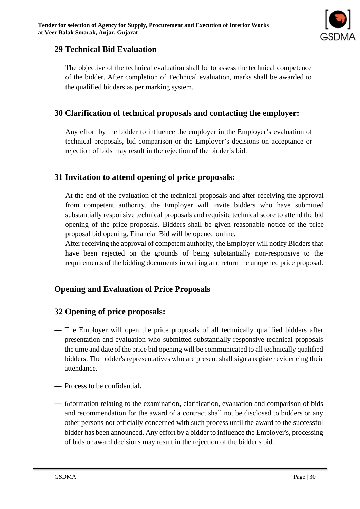

## **29 Technical Bid Evaluation**

The objective of the technical evaluation shall be to assess the technical competence of the bidder. After completion of Technical evaluation, marks shall be awarded to the qualified bidders as per marking system.

## **30 Clarification of technical proposals and contacting the employer:**

Any effort by the bidder to influence the employer in the Employer's evaluation of technical proposals, bid comparison or the Employer's decisions on acceptance or rejection of bids may result in the rejection of the bidder's bid.

## **31 Invitation to attend opening of price proposals:**

At the end of the evaluation of the technical proposals and after receiving the approval from competent authority, the Employer will invite bidders who have submitted substantially responsive technical proposals and requisite technical score to attend the bid opening of the price proposals. Bidders shall be given reasonable notice of the price proposal bid opening. Financial Bid will be opened online.

After receiving the approval of competent authority, the Employer will notify Bidders that have been rejected on the grounds of being substantially non-responsive to the requirements of the bidding documents in writing and return the unopened price proposal.

## **Opening and Evaluation of Price Proposals**

## **32 Opening of price proposals:**

- The Employer will open the price proposals of all technically qualified bidders after presentation and evaluation who submitted substantially responsive technical proposals the time and date of the price bid opening will be communicated to all technically qualified bidders. The bidder's representatives who are present shall sign a register evidencing their attendance.
- Process to be confidential**.**
- Information relating to the examination, clarification, evaluation and comparison of bids and recommendation for the award of a contract shall not be disclosed to bidders or any other persons not officially concerned with such process until the award to the successful bidder has been announced. Any effort by a bidder to influence the Employer's, processing of bids or award decisions may result in the rejection of the bidder's bid.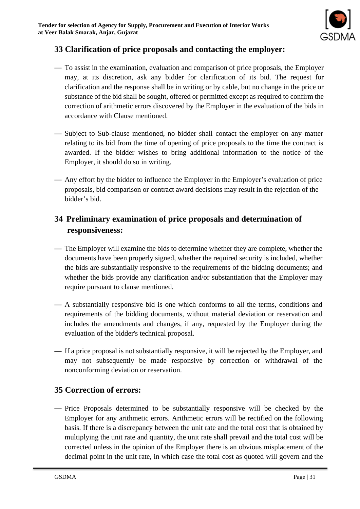

## **33 Clarification of price proposals and contacting the employer:**

- To assist in the examination, evaluation and comparison of price proposals, the Employer may, at its discretion, ask any bidder for clarification of its bid. The request for clarification and the response shall be in writing or by cable, but no change in the price or substance of the bid shall be sought, offered or permitted except as required to confirm the correction of arithmetic errors discovered by the Employer in the evaluation of the bids in accordance with Clause mentioned.
- Subject to Sub-clause mentioned, no bidder shall contact the employer on any matter relating to its bid from the time of opening of price proposals to the time the contract is awarded. If the bidder wishes to bring additional information to the notice of the Employer, it should do so in writing.
- Any effort by the bidder to influence the Employer in the Employer's evaluation of price proposals, bid comparison or contract award decisions may result in the rejection of the bidder's bid.

## **34 Preliminary examination of price proposals and determination of responsiveness:**

- The Employer will examine the bids to determine whether they are complete, whether the documents have been properly signed, whether the required security is included, whether the bids are substantially responsive to the requirements of the bidding documents; and whether the bids provide any clarification and/or substantiation that the Employer may require pursuant to clause mentioned.
- A substantially responsive bid is one which conforms to all the terms, conditions and requirements of the bidding documents, without material deviation or reservation and includes the amendments and changes, if any, requested by the Employer during the evaluation of the bidder's technical proposal.
- If a price proposal is not substantially responsive, it will be rejected by the Employer, and may not subsequently be made responsive by correction or withdrawal of the nonconforming deviation or reservation.

## **35 Correction of errors:**

— Price Proposals determined to be substantially responsive will be checked by the Employer for any arithmetic errors. Arithmetic errors will be rectified on the following basis. If there is a discrepancy between the unit rate and the total cost that is obtained by multiplying the unit rate and quantity, the unit rate shall prevail and the total cost will be corrected unless in the opinion of the Employer there is an obvious misplacement of the decimal point in the unit rate, in which case the total cost as quoted will govern and the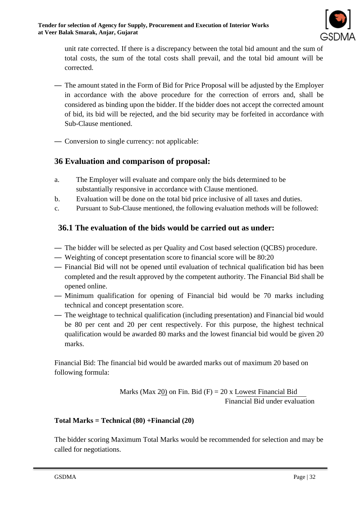

unit rate corrected. If there is a discrepancy between the total bid amount and the sum of total costs, the sum of the total costs shall prevail, and the total bid amount will be corrected.

- The amount stated in the Form of Bid for Price Proposal will be adjusted by the Employer in accordance with the above procedure for the correction of errors and, shall be considered as binding upon the bidder. If the bidder does not accept the corrected amount of bid, its bid will be rejected, and the bid security may be forfeited in accordance with Sub-Clause mentioned.
- Conversion to single currency: not applicable:

## **36 Evaluation and comparison of proposal:**

- a. The Employer will evaluate and compare only the bids determined to be substantially responsive in accordance with Clause mentioned.
- b. Evaluation will be done on the total bid price inclusive of all taxes and duties.
- c. Pursuant to Sub-Clause mentioned, the following evaluation methods will be followed:

## **36.1 The evaluation of the bids would be carried out as under:**

- The bidder will be selected as per Quality and Cost based selection (QCBS) procedure.
- Weighting of concept presentation score to financial score will be 80:20
- Financial Bid will not be opened until evaluation of technical qualification bid has been completed and the result approved by the competent authority. The Financial Bid shall be opened online.
- Minimum qualification for opening of Financial bid would be 70 marks including technical and concept presentation score.
- The weightage to technical qualification (including presentation) and Financial bid would be 80 per cent and 20 per cent respectively. For this purpose, the highest technical qualification would be awarded 80 marks and the lowest financial bid would be given 20 marks.

Financial Bid: The financial bid would be awarded marks out of maximum 20 based on following formula:

> Marks (Max 20) on Fin. Bid  $(F) = 20$  x Lowest Financial Bid Financial Bid under evaluation

#### **Total Marks = Technical (80) +Financial (20)**

The bidder scoring Maximum Total Marks would be recommended for selection and may be called for negotiations.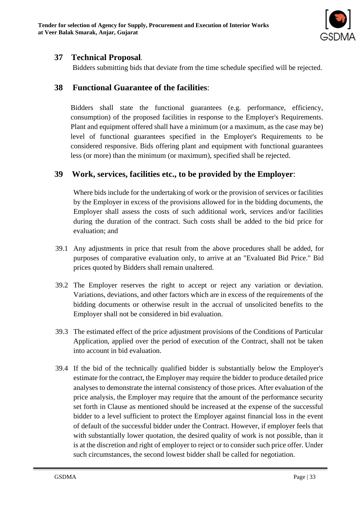

## **37 Technical Proposal**.

Bidders submitting bids that deviate from the time schedule specified will be rejected.

## **38 Functional Guarantee of the facilities**:

Bidders shall state the functional guarantees (e.g. performance, efficiency, consumption) of the proposed facilities in response to the Employer's Requirements. Plant and equipment offered shall have a minimum (or a maximum, as the case may be) level of functional guarantees specified in the Employer's Requirements to be considered responsive. Bids offering plant and equipment with functional guarantees less (or more) than the minimum (or maximum), specified shall be rejected.

## **39 Work, services, facilities etc., to be provided by the Employer**:

Where bids include for the undertaking of work or the provision of services or facilities by the Employer in excess of the provisions allowed for in the bidding documents, the Employer shall assess the costs of such additional work, services and/or facilities during the duration of the contract. Such costs shall be added to the bid price for evaluation; and

- 39.1 Any adjustments in price that result from the above procedures shall be added, for purposes of comparative evaluation only, to arrive at an "Evaluated Bid Price." Bid prices quoted by Bidders shall remain unaltered.
- 39.2 The Employer reserves the right to accept or reject any variation or deviation. Variations, deviations, and other factors which are in excess of the requirements of the bidding documents or otherwise result in the accrual of unsolicited benefits to the Employer shall not be considered in bid evaluation.
- 39.3 The estimated effect of the price adjustment provisions of the Conditions of Particular Application, applied over the period of execution of the Contract, shall not be taken into account in bid evaluation.
- 39.4 If the bid of the technically qualified bidder is substantially below the Employer's estimate for the contract, the Employer may require the bidder to produce detailed price analyses to demonstrate the internal consistency of those prices. After evaluation of the price analysis, the Employer may require that the amount of the performance security set forth in Clause as mentioned should be increased at the expense of the successful bidder to a level sufficient to protect the Employer against financial loss in the event of default of the successful bidder under the Contract. However, if employer feels that with substantially lower quotation, the desired quality of work is not possible, than it is at the discretion and right of employer to reject or to consider such price offer. Under such circumstances, the second lowest bidder shall be called for negotiation.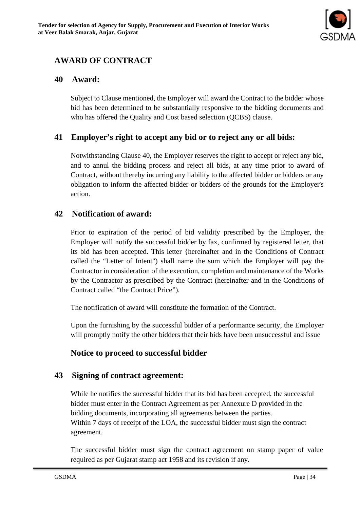

## **AWARD OF CONTRACT**

## **40 Award:**

Subject to Clause mentioned, the Employer will award the Contract to the bidder whose bid has been determined to be substantially responsive to the bidding documents and who has offered the Quality and Cost based selection (QCBS) clause.

## **41 Employer's right to accept any bid or to reject any or all bids:**

Notwithstanding Clause 40, the Employer reserves the right to accept or reject any bid, and to annul the bidding process and reject all bids, at any time prior to award of Contract, without thereby incurring any liability to the affected bidder or bidders or any obligation to inform the affected bidder or bidders of the grounds for the Employer's action.

#### **42 Notification of award:**

Prior to expiration of the period of bid validity prescribed by the Employer, the Employer will notify the successful bidder by fax, confirmed by registered letter, that its bid has been accepted. This letter {hereinafter and in the Conditions of Contract called the "Letter of Intent") shall name the sum which the Employer will pay the Contractor in consideration of the execution, completion and maintenance of the Works by the Contractor as prescribed by the Contract (hereinafter and in the Conditions of Contract called "the Contract Price").

The notification of award will constitute the formation of the Contract.

Upon the furnishing by the successful bidder of a performance security, the Employer will promptly notify the other bidders that their bids have been unsuccessful and issue

## **Notice to proceed to successful bidder**

#### **43 Signing of contract agreement:**

While he notifies the successful bidder that its bid has been accepted, the successful bidder must enter in the Contract Agreement as per Annexure D provided in the bidding documents, incorporating all agreements between the parties. Within 7 days of receipt of the LOA, the successful bidder must sign the contract agreement.

The successful bidder must sign the contract agreement on stamp paper of value required as per Gujarat stamp act 1958 and its revision if any.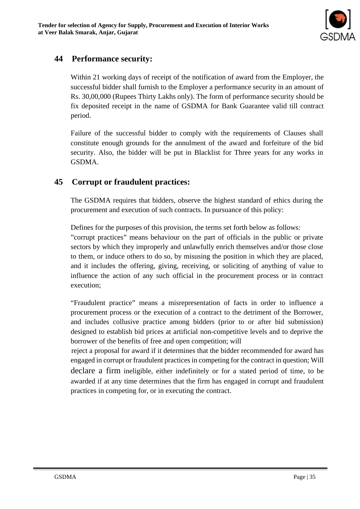

## **44 Performance security:**

Within 21 working days of receipt of the notification of award from the Employer, the successful bidder shall furnish to the Employer a performance security in an amount of Rs. 30,00,000 (Rupees Thirty Lakhs only). The form of performance security should be fix deposited receipt in the name of GSDMA for Bank Guarantee valid till contract period.

Failure of the successful bidder to comply with the requirements of Clauses shall constitute enough grounds for the annulment of the award and forfeiture of the bid security. Also, the bidder will be put in Blacklist for Three years for any works in GSDMA.

## **45 Corrupt or fraudulent practices:**

The GSDMA requires that bidders, observe the highest standard of ethics during the procurement and execution of such contracts. In pursuance of this policy:

Defines for the purposes of this provision, the terms set forth below as follows:

"corrupt practices" means behaviour on the part of officials in the public or private sectors by which they improperly and unlawfully enrich themselves and/or those close to them, or induce others to do so, by misusing the position in which they are placed, and it includes the offering, giving, receiving, or soliciting of anything of value to influence the action of any such official in the procurement process or in contract execution;

"Fraudulent practice" means a misrepresentation of facts in order to influence a procurement process or the execution of a contract to the detriment of the Borrower, and includes collusive practice among bidders (prior to or after bid submission) designed to establish bid prices at artificial non-competitive levels and to deprive the borrower of the benefits of free and open competition; will

reject a proposal for award if it determines that the bidder recommended for award has engaged in corrupt or fraudulent practices in competing for the contract in question; Will declare a firm ineligible, either indefinitely or for a stated period of time, to be awarded if at any time determines that the firm has engaged in corrupt and fraudulent practices in competing for, or in executing the contract.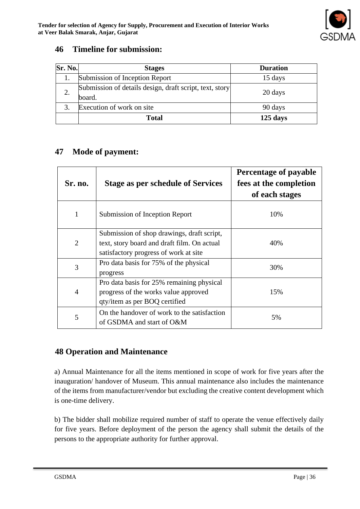## **46 Timeline for submission:**

| Sr. No. | <b>Stages</b>                                                     | <b>Duration</b> |
|---------|-------------------------------------------------------------------|-----------------|
|         | Submission of Inception Report                                    | 15 days         |
|         | Submission of details design, draft script, text, story<br>board. | 20 days         |
| 3.      | Execution of work on site                                         | 90 days         |
|         | Total                                                             | $125$ days      |

## **47 Mode of payment:**

| Sr. no.        | <b>Stage as per schedule of Services</b>                                                                                           | Percentage of payable<br>fees at the completion<br>of each stages |
|----------------|------------------------------------------------------------------------------------------------------------------------------------|-------------------------------------------------------------------|
| 1              | Submission of Inception Report                                                                                                     | 10%                                                               |
| 2              | Submission of shop drawings, draft script,<br>text, story board and draft film. On actual<br>satisfactory progress of work at site | 40%                                                               |
| 3              | Pro data basis for 75% of the physical<br>progress                                                                                 | 30%                                                               |
| $\overline{4}$ | Pro data basis for 25% remaining physical<br>progress of the works value approved<br>qty/item as per BOQ certified                 | 15%                                                               |
| 5              | On the handover of work to the satisfaction<br>of GSDMA and start of O&M                                                           | 5%                                                                |

## **48 Operation and Maintenance**

a) Annual Maintenance for all the items mentioned in scope of work for five years after the inauguration/ handover of Museum. This annual maintenance also includes the maintenance of the items from manufacturer/vendor but excluding the creative content development which is one-time delivery.

b) The bidder shall mobilize required number of staff to operate the venue effectively daily for five years. Before deployment of the person the agency shall submit the details of the persons to the appropriate authority for further approval.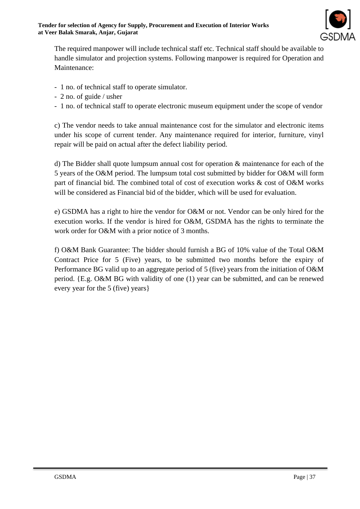

The required manpower will include technical staff etc. Technical staff should be available to handle simulator and projection systems. Following manpower is required for Operation and Maintenance:

- 1 no. of technical staff to operate simulator.
- 2 no. of guide / usher
- 1 no. of technical staff to operate electronic museum equipment under the scope of vendor

c) The vendor needs to take annual maintenance cost for the simulator and electronic items under his scope of current tender. Any maintenance required for interior, furniture, vinyl repair will be paid on actual after the defect liability period.

d) The Bidder shall quote lumpsum annual cost for operation & maintenance for each of the 5 years of the O&M period. The lumpsum total cost submitted by bidder for O&M will form part of financial bid. The combined total of cost of execution works & cost of O&M works will be considered as Financial bid of the bidder, which will be used for evaluation.

e) GSDMA has a right to hire the vendor for O&M or not. Vendor can be only hired for the execution works. If the vendor is hired for O&M, GSDMA has the rights to terminate the work order for O&M with a prior notice of 3 months.

f) O&M Bank Guarantee: The bidder should furnish a BG of 10% value of the Total O&M Contract Price for 5 (Five) years, to be submitted two months before the expiry of Performance BG valid up to an aggregate period of 5 (five) years from the initiation of O&M period. {E.g. O&M BG with validity of one (1) year can be submitted, and can be renewed every year for the 5 (five) years}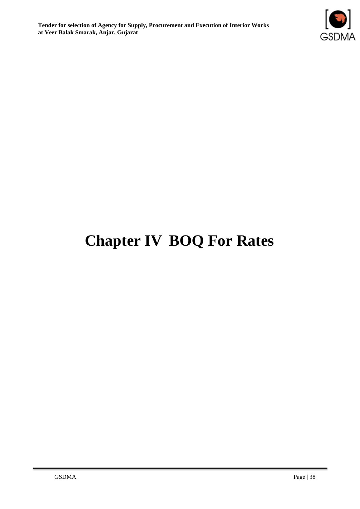

## **Chapter IV BOQ For Rates**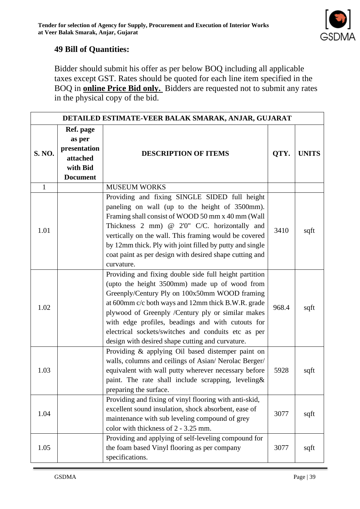

## **49 Bill of Quantities:**

Bidder should submit his offer as per below BOQ including all applicable taxes except GST. Rates should be quoted for each line item specified in the BOQ in **online Price Bid only.** Bidders are requested not to submit any rates in the physical copy of the bid.

| DETAILED ESTIMATE-VEER BALAK SMARAK, ANJAR, GUJARAT |                                                                                |                                                                                                                                                                                                                                                                                                                                                                                                                                     |       |              |  |  |
|-----------------------------------------------------|--------------------------------------------------------------------------------|-------------------------------------------------------------------------------------------------------------------------------------------------------------------------------------------------------------------------------------------------------------------------------------------------------------------------------------------------------------------------------------------------------------------------------------|-------|--------------|--|--|
| S. NO.                                              | Ref. page<br>as per<br>presentation<br>attached<br>with Bid<br><b>Document</b> | <b>DESCRIPTION OF ITEMS</b>                                                                                                                                                                                                                                                                                                                                                                                                         | QTY.  | <b>UNITS</b> |  |  |
| $\mathbf{1}$                                        |                                                                                | <b>MUSEUM WORKS</b>                                                                                                                                                                                                                                                                                                                                                                                                                 |       |              |  |  |
| 1.01                                                |                                                                                | Providing and fixing SINGLE SIDED full height<br>paneling on wall (up to the height of 3500mm).<br>Framing shall consist of WOOD 50 mm x 40 mm (Wall<br>Thickness 2 mm) @ 2'0" C/C. horizontally and<br>vertically on the wall. This framing would be covered<br>by 12mm thick. Ply with joint filled by putty and single<br>coat paint as per design with desired shape cutting and<br>curvature.                                  | 3410  | sqft         |  |  |
| 1.02                                                |                                                                                | Providing and fixing double side full height partition<br>(upto the height 3500mm) made up of wood from<br>Greenply/Century Ply on 100x50mm WOOD framing<br>at 600mm c/c both ways and 12mm thick B.W.R. grade<br>plywood of Greenply /Century ply or similar makes<br>with edge profiles, beadings and with cutouts for<br>electrical sockets/switches and conduits etc as per<br>design with desired shape cutting and curvature. | 968.4 | sqft         |  |  |
| 1.03                                                |                                                                                | Providing & applying Oil based distemper paint on<br>walls, columns and ceilings of Asian/ Nerolac Berger/<br>equivalent with wall putty wherever necessary before<br>paint. The rate shall include scrapping, leveling&<br>preparing the surface.                                                                                                                                                                                  | 5928  | sqft         |  |  |
| 1.04                                                |                                                                                | Providing and fixing of vinyl flooring with anti-skid,<br>excellent sound insulation, shock absorbent, ease of<br>maintenance with sub leveling compound of grey<br>color with thickness of 2 - 3.25 mm.                                                                                                                                                                                                                            | 3077  | sqft         |  |  |
| 1.05                                                |                                                                                | Providing and applying of self-leveling compound for<br>the foam based Vinyl flooring as per company<br>specifications.                                                                                                                                                                                                                                                                                                             | 3077  | sqft         |  |  |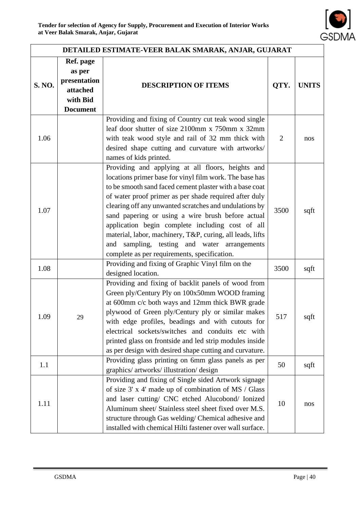

| DETAILED ESTIMATE-VEER BALAK SMARAK, ANJAR, GUJARAT |                                                                                |                                                                                                                                                                                                                                                                                                                                                                                                                                                                                                                                                                      |      |              |  |  |
|-----------------------------------------------------|--------------------------------------------------------------------------------|----------------------------------------------------------------------------------------------------------------------------------------------------------------------------------------------------------------------------------------------------------------------------------------------------------------------------------------------------------------------------------------------------------------------------------------------------------------------------------------------------------------------------------------------------------------------|------|--------------|--|--|
| S. NO.                                              | Ref. page<br>as per<br>presentation<br>attached<br>with Bid<br><b>Document</b> | <b>DESCRIPTION OF ITEMS</b>                                                                                                                                                                                                                                                                                                                                                                                                                                                                                                                                          | QTY. | <b>UNITS</b> |  |  |
| 1.06                                                |                                                                                | Providing and fixing of Country cut teak wood single<br>leaf door shutter of size 2100mm x 750mm x 32mm<br>with teak wood style and rail of 32 mm thick with<br>desired shape cutting and curvature with artworks/<br>names of kids printed.                                                                                                                                                                                                                                                                                                                         | 2    | nos          |  |  |
| 1.07                                                |                                                                                | Providing and applying at all floors, heights and<br>locations primer base for vinyl film work. The base has<br>to be smooth sand faced cement plaster with a base coat<br>of water proof primer as per shade required after duly<br>clearing off any unwanted scratches and undulations by<br>sand papering or using a wire brush before actual<br>application begin complete including cost of all<br>material, labor, machinery, T&P, curing, all leads, lifts<br>sampling, testing and water arrangements<br>and<br>complete as per requirements, specification. | 3500 | sqft         |  |  |
| 1.08                                                |                                                                                | Providing and fixing of Graphic Vinyl film on the<br>designed location.                                                                                                                                                                                                                                                                                                                                                                                                                                                                                              | 3500 | sqft         |  |  |
| 1.09                                                | 29                                                                             | Providing and fixing of backlit panels of wood from<br>Green ply/Century Ply on 100x50mm WOOD framing<br>at 600mm c/c both ways and 12mm thick BWR grade<br>plywood of Green ply/Century ply or similar makes<br>with edge profiles, beadings and with cutouts for<br>electrical sockets/switches and conduits etc with<br>printed glass on frontside and led strip modules inside<br>as per design with desired shape cutting and curvature.                                                                                                                        | 517  | sqft         |  |  |
| 1.1                                                 |                                                                                | Providing glass printing on 6mm glass panels as per<br>graphics/ artworks/ illustration/ design                                                                                                                                                                                                                                                                                                                                                                                                                                                                      | 50   | sqft         |  |  |
| 1.11                                                |                                                                                | Providing and fixing of Single sided Artwork signage<br>of size 3' x 4' made up of combination of MS / Glass<br>and laser cutting/ CNC etched Alucobond/ Ionized<br>Aluminum sheet/ Stainless steel sheet fixed over M.S.<br>structure through Gas welding/ Chemical adhesive and<br>installed with chemical Hilti fastener over wall surface.                                                                                                                                                                                                                       | 10   | nos          |  |  |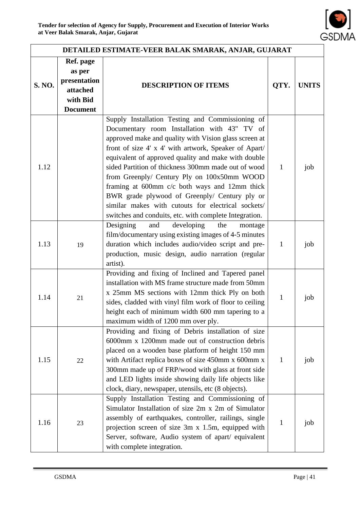

|        | DETAILED ESTIMATE-VEER BALAK SMARAK, ANJAR, GUJARAT                            |                                                                                                                                                                                                                                                                                                                                                                                                                                                                                                                                                                                                   |              |              |  |  |  |  |
|--------|--------------------------------------------------------------------------------|---------------------------------------------------------------------------------------------------------------------------------------------------------------------------------------------------------------------------------------------------------------------------------------------------------------------------------------------------------------------------------------------------------------------------------------------------------------------------------------------------------------------------------------------------------------------------------------------------|--------------|--------------|--|--|--|--|
| S. NO. | Ref. page<br>as per<br>presentation<br>attached<br>with Bid<br><b>Document</b> | <b>DESCRIPTION OF ITEMS</b>                                                                                                                                                                                                                                                                                                                                                                                                                                                                                                                                                                       | QTY.         | <b>UNITS</b> |  |  |  |  |
| 1.12   |                                                                                | Supply Installation Testing and Commissioning of<br>Documentary room Installation with 43" TV of<br>approved make and quality with Vision glass screen at<br>front of size 4' x 4' with artwork, Speaker of Apart/<br>equivalent of approved quality and make with double<br>sided Partition of thickness 300mm made out of wood<br>from Greenply/ Century Ply on 100x50mm WOOD<br>framing at 600mm c/c both ways and 12mm thick<br>BWR grade plywood of Greenply/ Century ply or<br>similar makes with cutouts for electrical sockets/<br>switches and conduits, etc. with complete Integration. | $\mathbf{1}$ | job          |  |  |  |  |
| 1.13   | 19                                                                             | Designing<br>developing<br>and<br>the<br>montage<br>film/documentary using existing images of 4-5 minutes<br>duration which includes audio/video script and pre-<br>production, music design, audio narration (regular<br>artist).                                                                                                                                                                                                                                                                                                                                                                | $\mathbf{1}$ | job          |  |  |  |  |
| 1.14   | 21                                                                             | Providing and fixing of Inclined and Tapered panel<br>installation with MS frame structure made from 50mm<br>x 25mm MS sections with 12mm thick Ply on both<br>sides, cladded with vinyl film work of floor to ceiling<br>height each of minimum width 600 mm tapering to a<br>maximum width of 1200 mm over ply.                                                                                                                                                                                                                                                                                 | $\mathbf{1}$ | job          |  |  |  |  |
| 1.15   | 22                                                                             | Providing and fixing of Debris installation of size<br>6000mm x 1200mm made out of construction debris<br>placed on a wooden base platform of height 150 mm<br>with Artifact replica boxes of size 450mm x 600mm x<br>300mm made up of FRP/wood with glass at front side<br>and LED lights inside showing daily life objects like<br>clock, diary, newspaper, utensils, etc (8 objects).                                                                                                                                                                                                          | $\mathbf{1}$ | job          |  |  |  |  |
| 1.16   | 23                                                                             | Supply Installation Testing and Commissioning of<br>Simulator Installation of size 2m x 2m of Simulator<br>assembly of earthquakes, controller, railings, single<br>projection screen of size 3m x 1.5m, equipped with<br>Server, software, Audio system of apart/ equivalent<br>with complete integration.                                                                                                                                                                                                                                                                                       | $\mathbf{1}$ | job          |  |  |  |  |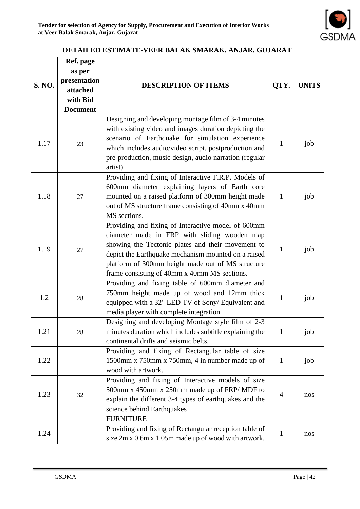

|        | DETAILED ESTIMATE-VEER BALAK SMARAK, ANJAR, GUJARAT                                                                                                          |                                                                                                                                                                                                                                                                                                                     |                |              |  |  |  |
|--------|--------------------------------------------------------------------------------------------------------------------------------------------------------------|---------------------------------------------------------------------------------------------------------------------------------------------------------------------------------------------------------------------------------------------------------------------------------------------------------------------|----------------|--------------|--|--|--|
| S. NO. | Ref. page<br>as per<br>presentation<br>attached<br>with Bid<br><b>Document</b>                                                                               | <b>DESCRIPTION OF ITEMS</b>                                                                                                                                                                                                                                                                                         | QTY.           | <b>UNITS</b> |  |  |  |
| 1.17   | 23                                                                                                                                                           | Designing and developing montage film of 3-4 minutes<br>with existing video and images duration depicting the<br>scenario of Earthquake for simulation experience<br>which includes audio/video script, postproduction and<br>pre-production, music design, audio narration (regular<br>artist).                    | 1              | job          |  |  |  |
| 1.18   | 27                                                                                                                                                           | Providing and fixing of Interactive F.R.P. Models of<br>600mm diameter explaining layers of Earth core<br>mounted on a raised platform of 300mm height made<br>out of MS structure frame consisting of 40mm x 40mm<br>MS sections.                                                                                  |                |              |  |  |  |
| 1.19   | 27                                                                                                                                                           | Providing and fixing of Interactive model of 600mm<br>diameter made in FRP with sliding wooden map<br>showing the Tectonic plates and their movement to<br>depict the Earthquake mechanism mounted on a raised<br>platform of 300mm height made out of MS structure<br>frame consisting of 40mm x 40mm MS sections. | $\mathbf{1}$   | job          |  |  |  |
| 1.2    | 28                                                                                                                                                           | Providing and fixing table of 600mm diameter and<br>750mm height made up of wood and 12mm thick<br>equipped with a 32" LED TV of Sony/ Equivalent and<br>media player with complete integration                                                                                                                     |                | job          |  |  |  |
| 1.21   | Designing and developing Montage style film of 2-3<br>minutes duration which includes subtitle explaining the<br>28<br>continental drifts and seismic belts. |                                                                                                                                                                                                                                                                                                                     | $\mathbf{1}$   | job          |  |  |  |
| 1.22   |                                                                                                                                                              | Providing and fixing of Rectangular table of size<br>1500mm x 750mm x 750mm, 4 in number made up of<br>wood with artwork.                                                                                                                                                                                           | $\mathbf{1}$   | job          |  |  |  |
| 1.23   | 32                                                                                                                                                           | Providing and fixing of Interactive models of size<br>500mm x 450mm x 250mm made up of FRP/MDF to<br>explain the different 3-4 types of earthquakes and the<br>science behind Earthquakes                                                                                                                           | $\overline{4}$ | nos          |  |  |  |
|        |                                                                                                                                                              | <b>FURNITURE</b><br>Providing and fixing of Rectangular reception table of                                                                                                                                                                                                                                          |                |              |  |  |  |
| 1.24   |                                                                                                                                                              | size 2m x 0.6m x 1.05m made up of wood with artwork.                                                                                                                                                                                                                                                                | $\mathbf{1}$   | nos          |  |  |  |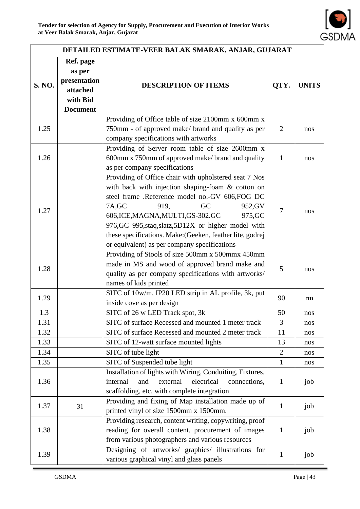

| DETAILED ESTIMATE-VEER BALAK SMARAK, ANJAR, GUJARAT |                                                                                |                                                                                                                                                                                                                                                                                                                                                                                                                       |                |              |  |  |  |
|-----------------------------------------------------|--------------------------------------------------------------------------------|-----------------------------------------------------------------------------------------------------------------------------------------------------------------------------------------------------------------------------------------------------------------------------------------------------------------------------------------------------------------------------------------------------------------------|----------------|--------------|--|--|--|
| S. NO.                                              | Ref. page<br>as per<br>presentation<br>attached<br>with Bid<br><b>Document</b> | <b>DESCRIPTION OF ITEMS</b>                                                                                                                                                                                                                                                                                                                                                                                           | QTY.           | <b>UNITS</b> |  |  |  |
| 1.25                                                |                                                                                | Providing of Office table of size 2100mm x 600mm x<br>750mm - of approved make/ brand and quality as per<br>company specifications with artworks                                                                                                                                                                                                                                                                      | $\overline{2}$ | nos          |  |  |  |
| 1.26                                                |                                                                                | Providing of Server room table of size 2600mm x<br>600mm x 750mm of approved make/brand and quality<br>as per company specifications                                                                                                                                                                                                                                                                                  | $\mathbf{1}$   | nos          |  |  |  |
| 1.27                                                |                                                                                | Providing of Office chair with upholstered seat 7 Nos<br>with back with injection shaping-foam & cotton on<br>steel frame .Reference model no.-GV 606,FOG DC<br>7A, GC<br>919,<br>GC<br>952, GV<br>606, ICE, MAGNA, MULTI, GS-302. GC<br>975, GC<br>976, GC 995, staq, slatz, 5D12X or higher model with<br>these specifications. Make: (Geeken, feather lite, godrej<br>or equivalent) as per company specifications | 7              | nos          |  |  |  |
| 1.28                                                |                                                                                | Providing of Stools of size 500mm x 500mmx 450mm<br>made in MS and wood of approved brand make and<br>quality as per company specifications with artworks/<br>names of kids printed                                                                                                                                                                                                                                   |                |              |  |  |  |
| 1.29                                                |                                                                                | SITC of 10w/m, IP20 LED strip in AL profile, 3k, put<br>inside cove as per design                                                                                                                                                                                                                                                                                                                                     | 90             | rm           |  |  |  |
| 1.3                                                 |                                                                                | SITC of 26 w LED Track spot, 3k                                                                                                                                                                                                                                                                                                                                                                                       | 50             | nos          |  |  |  |
| 1.31                                                |                                                                                | SITC of surface Recessed and mounted 1 meter track                                                                                                                                                                                                                                                                                                                                                                    | $\overline{3}$ | nos          |  |  |  |
| 1.32                                                |                                                                                | SITC of surface Recessed and mounted 2 meter track                                                                                                                                                                                                                                                                                                                                                                    | 11             | nos          |  |  |  |
| 1.33                                                |                                                                                | SITC of 12-watt surface mounted lights                                                                                                                                                                                                                                                                                                                                                                                | 13             | nos          |  |  |  |
| 1.34                                                |                                                                                | SITC of tube light                                                                                                                                                                                                                                                                                                                                                                                                    | $\overline{2}$ | nos          |  |  |  |
| 1.35                                                |                                                                                | SITC of Suspended tube light                                                                                                                                                                                                                                                                                                                                                                                          | $\mathbf{1}$   | nos          |  |  |  |
| 1.36                                                |                                                                                | Installation of lights with Wiring, Conduiting, Fixtures,<br>electrical<br>and<br>external<br>internal<br>connections,<br>scaffolding, etc. with complete integration                                                                                                                                                                                                                                                 | $\mathbf{1}$   | job          |  |  |  |
| 1.37                                                | 31                                                                             | Providing and fixing of Map installation made up of<br>printed vinyl of size 1500mm x 1500mm.                                                                                                                                                                                                                                                                                                                         | $\mathbf{1}$   | job          |  |  |  |
| 1.38                                                |                                                                                | Providing research, content writing, copywriting, proof<br>reading for overall content, procurement of images<br>from various photographers and various resources                                                                                                                                                                                                                                                     | $\mathbf{1}$   | job          |  |  |  |
| 1.39                                                |                                                                                | Designing of artworks/ graphics/ illustrations for<br>various graphical vinyl and glass panels                                                                                                                                                                                                                                                                                                                        | $\mathbf{1}$   | job          |  |  |  |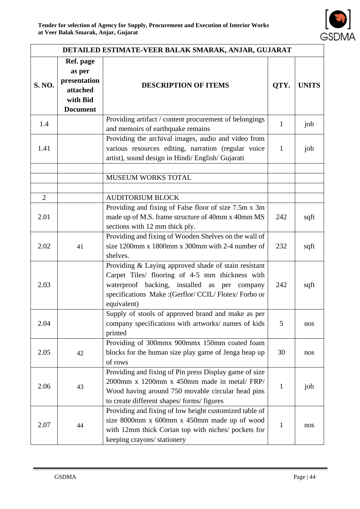

|                | DETAILED ESTIMATE-VEER BALAK SMARAK, ANJAR, GUJARAT                            |                                                                                                                                                                                                                                     |              |              |  |  |
|----------------|--------------------------------------------------------------------------------|-------------------------------------------------------------------------------------------------------------------------------------------------------------------------------------------------------------------------------------|--------------|--------------|--|--|
| S. NO.         | Ref. page<br>as per<br>presentation<br>attached<br>with Bid<br><b>Document</b> | <b>DESCRIPTION OF ITEMS</b>                                                                                                                                                                                                         | QTY.         | <b>UNITS</b> |  |  |
| 1.4            |                                                                                | Providing artifact / content procurement of belongings<br>and memoirs of earthquake remains                                                                                                                                         | $\mathbf{1}$ | job          |  |  |
| 1.41           |                                                                                | Providing the archival images, audio and video from<br>various resources editing, narration (regular voice<br>artist), sound design in Hindi/ English/ Gujarati                                                                     | $\mathbf{1}$ | job          |  |  |
|                |                                                                                | MUSEUM WORKS TOTAL                                                                                                                                                                                                                  |              |              |  |  |
|                |                                                                                |                                                                                                                                                                                                                                     |              |              |  |  |
| $\overline{2}$ |                                                                                | <b>AUDITORIUM BLOCK</b>                                                                                                                                                                                                             |              |              |  |  |
| 2.01           |                                                                                | Providing and fixing of False floor of size 7.5m x 3m<br>made up of M.S. frame structure of 40mm x 40mm MS<br>sections with 12 mm thick ply.                                                                                        | 242          | sqft         |  |  |
| 2.02           | 41                                                                             | Providing and fixing of Wooden Shelves on the wall of<br>size 1200mm x 1800mm x 300mm with 2-4 number of<br>shelves.                                                                                                                | 232          | sqft         |  |  |
| 2.03           |                                                                                | Providing & Laying approved shade of stain resistant<br>Carpet Tiles/ flooring of 4-5 mm thickness with<br>waterproof backing, installed as per<br>company<br>specifications Make : (Gerflor/ CCIL/ Flotex/ Forbo or<br>equivalent) | 242          | sqft         |  |  |
| 2.04           |                                                                                | Supply of stools of approved brand and make as per<br>company specifications with artworks/ names of kids<br>printed                                                                                                                | 5            | nos          |  |  |
| 2.05           | 42                                                                             | Providing of 300mmx 900mmx 150mm coated foam<br>blocks for the human size play game of Jenga heap up<br>of rows                                                                                                                     | 30           | nos          |  |  |
| 2.06           | 43                                                                             | Providing and fixing of Pin press Display game of size<br>2000mm x 1200mm x 450mm made in metal/FRP/<br>Wood having around 750 movable circular head pins<br>to create different shapes/forms/figures                               | $\mathbf{1}$ | job          |  |  |
| 2.07           | 44                                                                             | Providing and fixing of low height customized table of<br>size 8000mm x 600mm x 450mm made up of wood<br>with 12mm thick Corian top with niches/ pockets for<br>keeping crayons/ stationery                                         | 1            | nos          |  |  |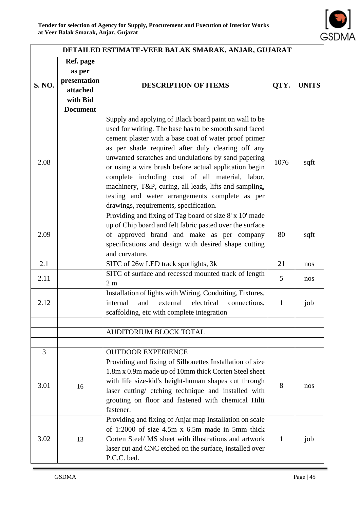

|        | DETAILED ESTIMATE-VEER BALAK SMARAK, ANJAR, GUJARAT                            |                                                                                                                                                                                                                                                                                                                                                                                                                                                                                                                                                         |              |              |  |  |
|--------|--------------------------------------------------------------------------------|---------------------------------------------------------------------------------------------------------------------------------------------------------------------------------------------------------------------------------------------------------------------------------------------------------------------------------------------------------------------------------------------------------------------------------------------------------------------------------------------------------------------------------------------------------|--------------|--------------|--|--|
| S. NO. | Ref. page<br>as per<br>presentation<br>attached<br>with Bid<br><b>Document</b> | <b>DESCRIPTION OF ITEMS</b>                                                                                                                                                                                                                                                                                                                                                                                                                                                                                                                             | QTY.         | <b>UNITS</b> |  |  |
| 2.08   |                                                                                | Supply and applying of Black board paint on wall to be<br>used for writing. The base has to be smooth sand faced<br>cement plaster with a base coat of water proof primer<br>as per shade required after duly clearing off any<br>unwanted scratches and undulations by sand papering<br>or using a wire brush before actual application begin<br>complete including cost of all material, labor,<br>machinery, T&P, curing, all leads, lifts and sampling,<br>testing and water arrangements complete as per<br>drawings, requirements, specification. | 1076         | sqft         |  |  |
| 2.09   |                                                                                | Providing and fixing of Tag board of size 8' x 10' made<br>up of Chip board and felt fabric pasted over the surface<br>of approved brand and make as per company<br>specifications and design with desired shape cutting<br>and curvature.                                                                                                                                                                                                                                                                                                              | 80           | sqft         |  |  |
| 2.1    |                                                                                | SITC of 26w LED track spotlights, 3k                                                                                                                                                                                                                                                                                                                                                                                                                                                                                                                    | 21           | nos          |  |  |
| 2.11   |                                                                                | SITC of surface and recessed mounted track of length<br>2 <sub>m</sub>                                                                                                                                                                                                                                                                                                                                                                                                                                                                                  | 5            | nos          |  |  |
| 2.12   |                                                                                | Installation of lights with Wiring, Conduiting, Fixtures,<br>electrical<br>internal<br>and<br>external<br>connections,<br>scaffolding, etc with complete integration                                                                                                                                                                                                                                                                                                                                                                                    | $\mathbf{1}$ | job          |  |  |
|        |                                                                                |                                                                                                                                                                                                                                                                                                                                                                                                                                                                                                                                                         |              |              |  |  |
|        |                                                                                | AUDITORIUM BLOCK TOTAL                                                                                                                                                                                                                                                                                                                                                                                                                                                                                                                                  |              |              |  |  |
| 3      |                                                                                | <b>OUTDOOR EXPERIENCE</b>                                                                                                                                                                                                                                                                                                                                                                                                                                                                                                                               |              |              |  |  |
| 3.01   | 16                                                                             | Providing and fixing of Silhouettes Installation of size<br>1.8m x 0.9m made up of 10mm thick Corten Steel sheet<br>with life size-kid's height-human shapes cut through<br>laser cutting/ etching technique and installed with<br>grouting on floor and fastened with chemical Hilti<br>fastener.                                                                                                                                                                                                                                                      | 8            | nos          |  |  |
| 3.02   | 13                                                                             | Providing and fixing of Anjar map Installation on scale<br>of 1:2000 of size 4.5m x 6.5m made in 5mm thick<br>Corten Steel/ MS sheet with illustrations and artwork<br>laser cut and CNC etched on the surface, installed over<br>P.C.C. bed.                                                                                                                                                                                                                                                                                                           | $\mathbf{1}$ | job          |  |  |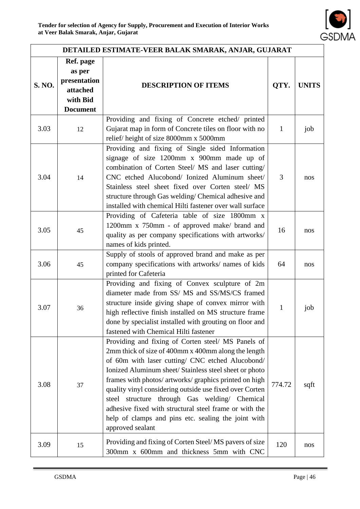

|        | DETAILED ESTIMATE-VEER BALAK SMARAK, ANJAR, GUJARAT                            |                                                                                                                                                                                                                                                                                                                                                                                                                                                                                                                                    |              |              |  |  |  |
|--------|--------------------------------------------------------------------------------|------------------------------------------------------------------------------------------------------------------------------------------------------------------------------------------------------------------------------------------------------------------------------------------------------------------------------------------------------------------------------------------------------------------------------------------------------------------------------------------------------------------------------------|--------------|--------------|--|--|--|
| S. NO. | Ref. page<br>as per<br>presentation<br>attached<br>with Bid<br><b>Document</b> | QTY.<br><b>DESCRIPTION OF ITEMS</b>                                                                                                                                                                                                                                                                                                                                                                                                                                                                                                |              | <b>UNITS</b> |  |  |  |
| 3.03   | 12                                                                             | Providing and fixing of Concrete etched/ printed<br>Gujarat map in form of Concrete tiles on floor with no<br>relief/height of size 8000mm x 5000mm                                                                                                                                                                                                                                                                                                                                                                                | $\mathbf{1}$ | job          |  |  |  |
| 3.04   | 14                                                                             | Providing and fixing of Single sided Information<br>signage of size 1200mm x 900mm made up of<br>combination of Corten Steel/ MS and laser cutting/<br>CNC etched Alucobond/ Ionized Aluminum sheet/<br>Stainless steel sheet fixed over Corten steel/ MS<br>structure through Gas welding/Chemical adhesive and<br>installed with chemical Hilti fastener over wall surface                                                                                                                                                       | 3            | nos          |  |  |  |
| 3.05   | 45                                                                             | Providing of Cafeteria table of size 1800mm x<br>1200mm x 750mm - of approved make/ brand and<br>quality as per company specifications with artworks/<br>names of kids printed.                                                                                                                                                                                                                                                                                                                                                    | 16           | nos          |  |  |  |
| 3.06   | 45                                                                             | Supply of stools of approved brand and make as per<br>company specifications with artworks/ names of kids<br>printed for Cafeteria                                                                                                                                                                                                                                                                                                                                                                                                 | 64           | nos          |  |  |  |
| 3.07   | 36                                                                             | Providing and fixing of Convex sculpture of 2m<br>diameter made from SS/ MS and SS/MS/CS framed<br>structure inside giving shape of convex mirror with<br>high reflective finish installed on MS structure frame<br>done by specialist installed with grouting on floor and<br>fastened with Chemical Hilti fastener                                                                                                                                                                                                               | $\mathbf{1}$ | job          |  |  |  |
| 3.08   | 37                                                                             | Providing and fixing of Corten steel/ MS Panels of<br>2mm thick of size of 400mm x 400mm along the length<br>of 60m with laser cutting/ CNC etched Alucobond/<br>Ionized Aluminum sheet/ Stainless steel sheet or photo<br>frames with photos/ artworks/ graphics printed on high<br>quality vinyl considering outside use fixed over Corten<br>steel structure through Gas welding/ Chemical<br>adhesive fixed with structural steel frame or with the<br>help of clamps and pins etc. sealing the joint with<br>approved sealant | 774.72       | sqft         |  |  |  |
| 3.09   | 15                                                                             | Providing and fixing of Corten Steel/MS pavers of size<br>300mm x 600mm and thickness 5mm with CNC                                                                                                                                                                                                                                                                                                                                                                                                                                 | 120          | nos          |  |  |  |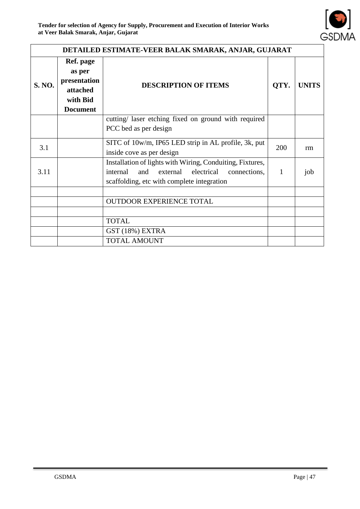

|               | DETAILED ESTIMATE-VEER BALAK SMARAK, ANJAR, GUJARAT                            |                                                                                                                                                                      |      |              |  |  |  |  |
|---------------|--------------------------------------------------------------------------------|----------------------------------------------------------------------------------------------------------------------------------------------------------------------|------|--------------|--|--|--|--|
| <b>S. NO.</b> | Ref. page<br>as per<br>presentation<br>attached<br>with Bid<br><b>Document</b> | <b>DESCRIPTION OF ITEMS</b>                                                                                                                                          | QTY. | <b>UNITS</b> |  |  |  |  |
|               |                                                                                | cutting/ laser etching fixed on ground with required                                                                                                                 |      |              |  |  |  |  |
|               |                                                                                | PCC bed as per design                                                                                                                                                |      |              |  |  |  |  |
| 3.1           |                                                                                | SITC of 10w/m, IP65 LED strip in AL profile, 3k, put<br>inside cove as per design                                                                                    | 200  | rm           |  |  |  |  |
| 3.11          |                                                                                | Installation of lights with Wiring, Conduiting, Fixtures,<br>internal<br>external<br>electrical<br>and<br>connections,<br>scaffolding, etc with complete integration | 1    | job          |  |  |  |  |
|               |                                                                                |                                                                                                                                                                      |      |              |  |  |  |  |
|               |                                                                                | <b>OUTDOOR EXPERIENCE TOTAL</b>                                                                                                                                      |      |              |  |  |  |  |
|               |                                                                                |                                                                                                                                                                      |      |              |  |  |  |  |
|               |                                                                                | <b>TOTAL</b>                                                                                                                                                         |      |              |  |  |  |  |
|               |                                                                                | GST (18%) EXTRA                                                                                                                                                      |      |              |  |  |  |  |
|               |                                                                                | <b>TOTAL AMOUNT</b>                                                                                                                                                  |      |              |  |  |  |  |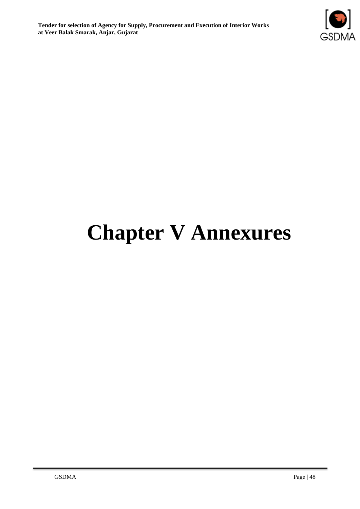

# **Chapter V Annexures**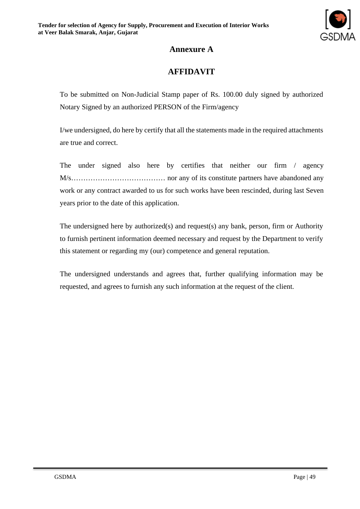

## **Annexure A**

## **AFFIDAVIT**

To be submitted on Non-Judicial Stamp paper of Rs. 100.00 duly signed by authorized Notary Signed by an authorized PERSON of the Firm/agency

I/we undersigned, do here by certify that all the statements made in the required attachments are true and correct.

The under signed also here by certifies that neither our firm / agency M/s………………………………… nor any of its constitute partners have abandoned any work or any contract awarded to us for such works have been rescinded, during last Seven years prior to the date of this application.

The undersigned here by authorized(s) and request(s) any bank, person, firm or Authority to furnish pertinent information deemed necessary and request by the Department to verify this statement or regarding my (our) competence and general reputation.

The undersigned understands and agrees that, further qualifying information may be requested, and agrees to furnish any such information at the request of the client.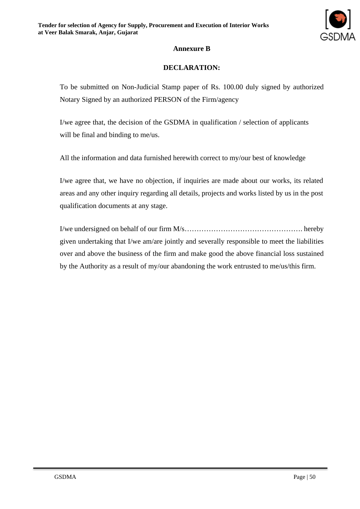

#### **Annexure B**

#### **DECLARATION:**

To be submitted on Non-Judicial Stamp paper of Rs. 100.00 duly signed by authorized Notary Signed by an authorized PERSON of the Firm/agency

I/we agree that, the decision of the GSDMA in qualification / selection of applicants will be final and binding to me/us.

All the information and data furnished herewith correct to my/our best of knowledge

I/we agree that, we have no objection, if inquiries are made about our works, its related areas and any other inquiry regarding all details, projects and works listed by us in the post qualification documents at any stage.

I/we undersigned on behalf of our firm M/s…………………………………………. hereby given undertaking that I/we am/are jointly and severally responsible to meet the liabilities over and above the business of the firm and make good the above financial loss sustained by the Authority as a result of my/our abandoning the work entrusted to me/us/this firm.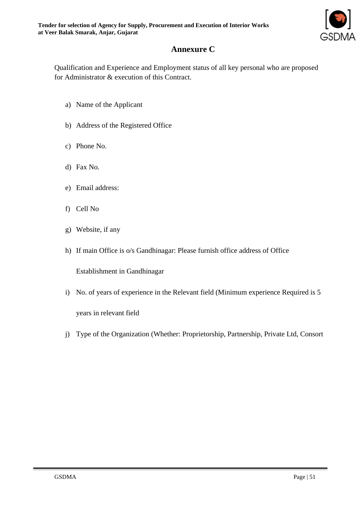

## **Annexure C**

Qualification and Experience and Employment status of all key personal who are proposed for Administrator & execution of this Contract.

- a) Name of the Applicant
- b) Address of the Registered Office
- c) Phone No.
- d) Fax No.
- e) Email address:
- f) Cell No
- g) Website, if any
- h) If main Office is o/s Gandhinagar: Please furnish office address of Office

Establishment in Gandhinagar

- i) No. of years of experience in the Relevant field (Minimum experience Required is 5 years in relevant field
- j) Type of the Organization (Whether: Proprietorship, Partnership, Private Ltd, Consort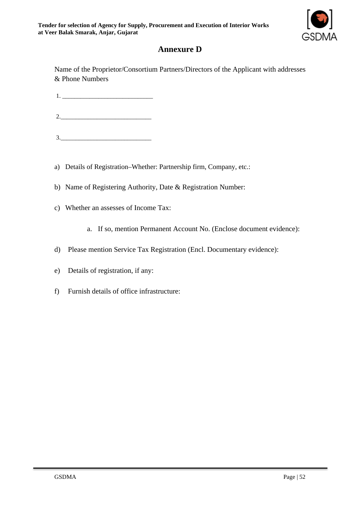

## **Annexure D**

Name of the Proprietor/Consortium Partners/Directors of the Applicant with addresses & Phone Numbers

1. \_\_\_\_\_\_\_\_\_\_\_\_\_\_\_\_\_\_\_\_\_\_\_\_\_\_\_\_\_\_

2.\_\_\_\_\_\_\_\_\_\_\_\_\_\_\_\_\_\_\_\_\_\_\_\_\_\_\_\_\_\_

- $3.$
- a) Details of Registration–Whether: Partnership firm, Company, etc.:

b) Name of Registering Authority, Date & Registration Number:

- c) Whether an assesses of Income Tax:
	- a. If so, mention Permanent Account No. (Enclose document evidence):
- d) Please mention Service Tax Registration (Encl. Documentary evidence):
- e) Details of registration, if any:
- f) Furnish details of office infrastructure: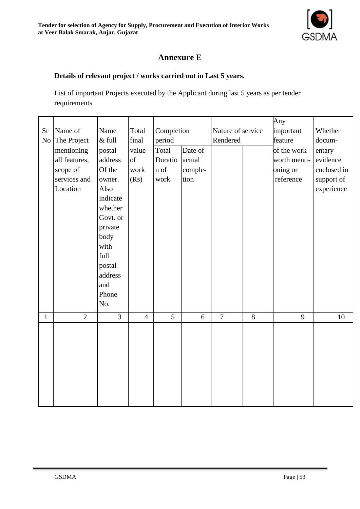

## **Annexure E**

#### **Details of relevant project / works carried out in Last 5 years.**

List of important Projects executed by the Applicant during last 5 years as per tender requirements

| <b>Sr</b>    | Name of        | Name           | Total          | Completion     |         | Nature of service |       | Any<br>important | Whether     |
|--------------|----------------|----------------|----------------|----------------|---------|-------------------|-------|------------------|-------------|
| No           | The Project    | $\&$ full      | final          | period         |         | Rendered          |       | feature          | docum-      |
|              | mentioning     | postal         | value          | Total          | Date of |                   |       | of the work      | entary      |
|              | all features,  | address        | of             | Duratio        | actual  |                   |       | worth menti-     | evidence    |
|              | scope of       | Of the         | work           | $\mathbf n$ of | comple- |                   |       | oning or         | enclosed in |
|              | services and   | owner.         | (Rs)           | work           | tion    |                   |       | reference        | support of  |
|              | Location       | Also           |                |                |         |                   |       |                  | experience  |
|              |                | indicate       |                |                |         |                   |       |                  |             |
|              |                | whether        |                |                |         |                   |       |                  |             |
|              |                | Govt. or       |                |                |         |                   |       |                  |             |
|              |                | private        |                |                |         |                   |       |                  |             |
|              |                | body           |                |                |         |                   |       |                  |             |
|              |                | with           |                |                |         |                   |       |                  |             |
|              |                | full           |                |                |         |                   |       |                  |             |
|              |                | postal         |                |                |         |                   |       |                  |             |
|              |                | address        |                |                |         |                   |       |                  |             |
|              |                | and            |                |                |         |                   |       |                  |             |
|              |                | Phone          |                |                |         |                   |       |                  |             |
|              |                | No.            |                |                |         |                   |       |                  |             |
| $\mathbf{1}$ | $\overline{2}$ | $\overline{3}$ | $\overline{4}$ | 5              | $6\,$   | $\overline{7}$    | $8\,$ | 9                | 10          |
|              |                |                |                |                |         |                   |       |                  |             |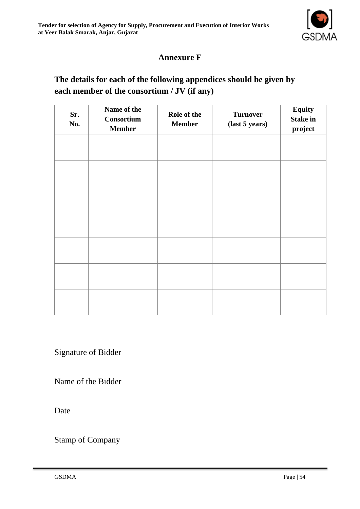

## **Annexure F**

## **The details for each of the following appendices should be given by each member of the consortium / JV (if any)**

| Sr.<br>No. | Name of the<br>Consortium<br><b>Member</b> | Role of the<br><b>Member</b> | <b>Turnover</b><br>(last 5 years) | <b>Equity</b><br><b>Stake in</b><br>project |
|------------|--------------------------------------------|------------------------------|-----------------------------------|---------------------------------------------|
|            |                                            |                              |                                   |                                             |
|            |                                            |                              |                                   |                                             |
|            |                                            |                              |                                   |                                             |
|            |                                            |                              |                                   |                                             |
|            |                                            |                              |                                   |                                             |
|            |                                            |                              |                                   |                                             |
|            |                                            |                              |                                   |                                             |

Signature of Bidder

Name of the Bidder

Date

Stamp of Company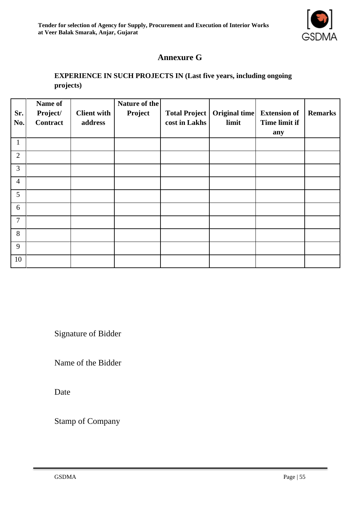

## **Annexure G**

#### **EXPERIENCE IN SUCH PROJECTS IN (Last five years, including ongoing projects)**

|                | Name of  |                    | Nature of the |                      |               |                     |                |
|----------------|----------|--------------------|---------------|----------------------|---------------|---------------------|----------------|
| Sr.            | Project/ | <b>Client with</b> | Project       | <b>Total Project</b> | Original time | <b>Extension of</b> | <b>Remarks</b> |
| No.            | Contract | address            |               | cost in Lakhs        | limit         | Time limit if       |                |
|                |          |                    |               |                      |               | any                 |                |
| $\mathbf{1}$   |          |                    |               |                      |               |                     |                |
| $\overline{2}$ |          |                    |               |                      |               |                     |                |
| $\overline{3}$ |          |                    |               |                      |               |                     |                |
| $\overline{4}$ |          |                    |               |                      |               |                     |                |
| 5              |          |                    |               |                      |               |                     |                |
| 6              |          |                    |               |                      |               |                     |                |
| $\overline{7}$ |          |                    |               |                      |               |                     |                |
| 8              |          |                    |               |                      |               |                     |                |
| 9              |          |                    |               |                      |               |                     |                |
| 10             |          |                    |               |                      |               |                     |                |

Signature of Bidder

Name of the Bidder

Date

Stamp of Company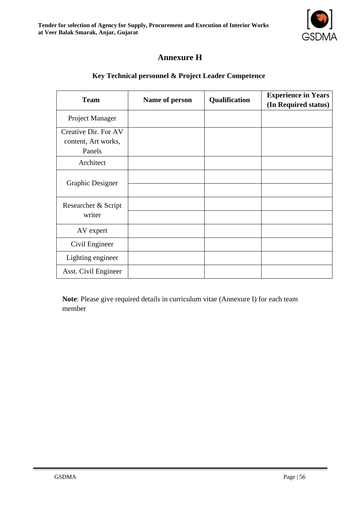

## **Annexure H**

#### **Key Technical personnel & Project Leader Competence**

| <b>Team</b>                                           | Name of person | Qualification | <b>Experience in Years</b><br>(In Required status) |
|-------------------------------------------------------|----------------|---------------|----------------------------------------------------|
| Project Manager                                       |                |               |                                                    |
| Creative Dir. For AV<br>content, Art works,<br>Panels |                |               |                                                    |
| Architect                                             |                |               |                                                    |
| <b>Graphic Designer</b>                               |                |               |                                                    |
| Researcher & Script<br>writer                         |                |               |                                                    |
| AV expert                                             |                |               |                                                    |
| Civil Engineer                                        |                |               |                                                    |
| Lighting engineer                                     |                |               |                                                    |
| Asst. Civil Engineer                                  |                |               |                                                    |

**Note**: Please give required details in curriculum vitae (Annexure I) for each team member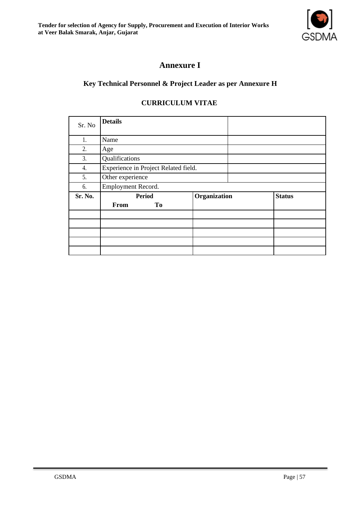**Tender for selection of Agency for Supply, Procurement and Execution of Interior Works at Veer Balak Smarak, Anjar, Gujarat**



## **Annexure I**

#### **Key Technical Personnel & Project Leader as per Annexure H**

#### **CURRICULUM VITAE**

| Sr. No  | <b>Details</b>                       |              |               |
|---------|--------------------------------------|--------------|---------------|
| 1.      | Name                                 |              |               |
| 2.      | Age                                  |              |               |
| 3.      | Qualifications                       |              |               |
| 4.      | Experience in Project Related field. |              |               |
| 5.      | Other experience                     |              |               |
| 6.      | Employment Record.                   |              |               |
| Sr. No. | <b>Period</b>                        | Organization | <b>Status</b> |
|         | From<br>To                           |              |               |
|         |                                      |              |               |
|         |                                      |              |               |
|         |                                      |              |               |
|         |                                      |              |               |
|         |                                      |              |               |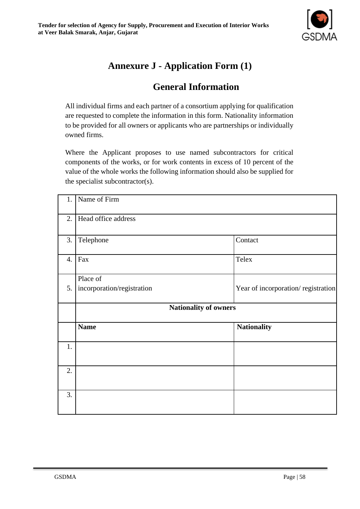

## **Annexure J - Application Form (1)**

## **General Information**

All individual firms and each partner of a consortium applying for qualification are requested to complete the information in this form. Nationality information to be provided for all owners or applicants who are partnerships or individually owned firms.

Where the Applicant proposes to use named subcontractors for critical components of the works, or for work contents in excess of 10 percent of the value of the whole works the following information should also be supplied for the specialist subcontractor(s).

| 1. | Name of Firm               |                                    |
|----|----------------------------|------------------------------------|
| 2. | Head office address        |                                    |
| 3. | Telephone                  | Contact                            |
| 4. | Fax                        | Telex                              |
|    | Place of                   |                                    |
| 5. | incorporation/registration | Year of incorporation/registration |
|    |                            | <b>Nationality of owners</b>       |
|    | <b>Name</b>                | <b>Nationality</b>                 |
| 1. |                            |                                    |
| 2. |                            |                                    |
|    |                            |                                    |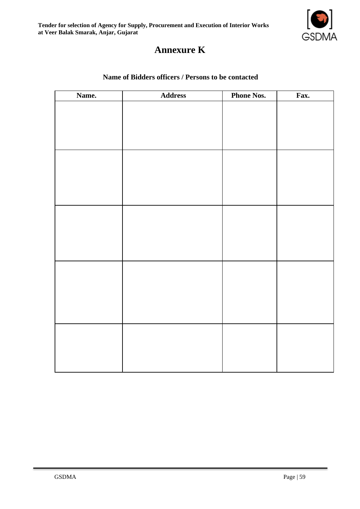

## **Annexure K**

#### **Name of Bidders officers / Persons to be contacted**

| Name. | <b>Address</b> | <b>Phone Nos.</b> | Fax. |
|-------|----------------|-------------------|------|
|       |                |                   |      |
|       |                |                   |      |
|       |                |                   |      |
|       |                |                   |      |
|       |                |                   |      |
|       |                |                   |      |
|       |                |                   |      |
|       |                |                   |      |
|       |                |                   |      |
|       |                |                   |      |
|       |                |                   |      |
|       |                |                   |      |
|       |                |                   |      |
|       |                |                   |      |
|       |                |                   |      |
|       |                |                   |      |
|       |                |                   |      |
|       |                |                   |      |
|       |                |                   |      |
|       |                |                   |      |
|       |                |                   |      |
|       |                |                   |      |
|       |                |                   |      |
|       |                |                   |      |
|       |                |                   |      |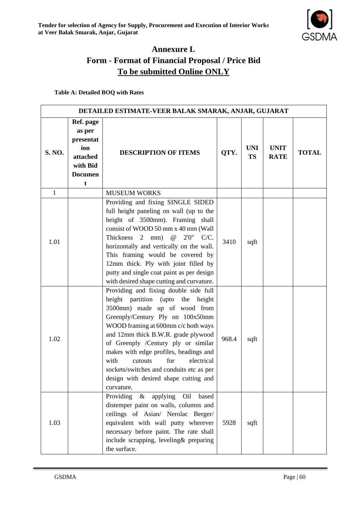

## **Annexure L Form - Format of Financial Proposal / Price Bid To be submitted Online ONLY**

**Table A: Detailed BOQ with Rates**

| DETAILED ESTIMATE-VEER BALAK SMARAK, ANJAR, GUJARAT |                                                                                        |                                                                                                                                                                                                                                                                                                                                                                                                                                                          |       |                         |                            |              |  |
|-----------------------------------------------------|----------------------------------------------------------------------------------------|----------------------------------------------------------------------------------------------------------------------------------------------------------------------------------------------------------------------------------------------------------------------------------------------------------------------------------------------------------------------------------------------------------------------------------------------------------|-------|-------------------------|----------------------------|--------------|--|
| <b>S. NO.</b>                                       | Ref. page<br>as per<br>presentat<br>ion<br>attached<br>with Bid<br><b>Documen</b><br>t | <b>DESCRIPTION OF ITEMS</b>                                                                                                                                                                                                                                                                                                                                                                                                                              | QTY.  | <b>UNI</b><br><b>TS</b> | <b>UNIT</b><br><b>RATE</b> | <b>TOTAL</b> |  |
| $\mathbf{1}$                                        |                                                                                        | <b>MUSEUM WORKS</b>                                                                                                                                                                                                                                                                                                                                                                                                                                      |       |                         |                            |              |  |
| 1.01                                                |                                                                                        | Providing and fixing SINGLE SIDED<br>full height paneling on wall (up to the<br>height of 3500mm). Framing shall<br>consist of WOOD 50 mm x 40 mm (Wall<br>Thickness 2<br>$^\text{\textregistered}$<br>$2'0''$ C/C.<br>mm)<br>horizontally and vertically on the wall.<br>This framing would be covered by<br>12mm thick. Ply with joint filled by<br>putty and single coat paint as per design<br>with desired shape cutting and curvature.             | 3410  | sqft                    |                            |              |  |
| 1.02                                                |                                                                                        | Providing and fixing double side full<br>height partition (upto the height<br>3500mm) made up of wood from<br>Greenply/Century Ply on 100x50mm<br>WOOD framing at 600mm c/c both ways<br>and 12mm thick B.W.R. grade plywood<br>of Greenply /Century ply or similar<br>makes with edge profiles, beadings and<br>with<br>for<br>electrical<br>cutouts<br>sockets/switches and conduits etc as per<br>design with desired shape cutting and<br>curvature. | 968.4 | sqft                    |                            |              |  |
| 1.03                                                |                                                                                        | Providing<br>applying<br>O <sub>il</sub><br>based<br>$\&$<br>distemper paint on walls, columns and<br>ceilings of Asian/ Nerolac Berger/<br>equivalent with wall putty wherever<br>necessary before paint. The rate shall<br>include scrapping, leveling& preparing<br>the surface.                                                                                                                                                                      | 5928  | sqft                    |                            |              |  |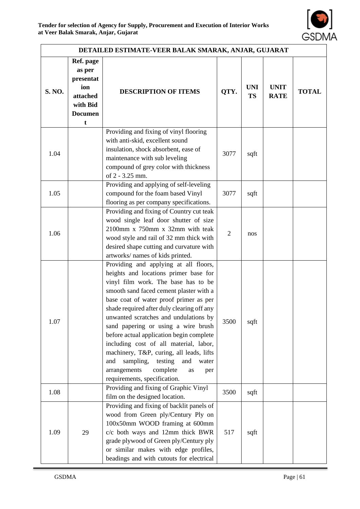

| DETAILED ESTIMATE-VEER BALAK SMARAK, ANJAR, GUJARAT |                                                                                        |                                                                                                                                                                                                                                                                                                                                                                                                                                                                                                                                                                                                    |                |                         |                            |              |  |
|-----------------------------------------------------|----------------------------------------------------------------------------------------|----------------------------------------------------------------------------------------------------------------------------------------------------------------------------------------------------------------------------------------------------------------------------------------------------------------------------------------------------------------------------------------------------------------------------------------------------------------------------------------------------------------------------------------------------------------------------------------------------|----------------|-------------------------|----------------------------|--------------|--|
| S. NO.                                              | Ref. page<br>as per<br>presentat<br>ion<br>attached<br>with Bid<br><b>Documen</b><br>t | <b>DESCRIPTION OF ITEMS</b>                                                                                                                                                                                                                                                                                                                                                                                                                                                                                                                                                                        | QTY.           | <b>UNI</b><br><b>TS</b> | <b>UNIT</b><br><b>RATE</b> | <b>TOTAL</b> |  |
| 1.04                                                |                                                                                        | Providing and fixing of vinyl flooring<br>with anti-skid, excellent sound<br>insulation, shock absorbent, ease of<br>maintenance with sub leveling<br>compound of grey color with thickness<br>of 2 - 3.25 mm.                                                                                                                                                                                                                                                                                                                                                                                     | 3077           | sqft                    |                            |              |  |
| 1.05                                                |                                                                                        | Providing and applying of self-leveling<br>compound for the foam based Vinyl<br>flooring as per company specifications.                                                                                                                                                                                                                                                                                                                                                                                                                                                                            | 3077           | sqft                    |                            |              |  |
| 1.06                                                |                                                                                        | Providing and fixing of Country cut teak<br>wood single leaf door shutter of size<br>2100mm x 750mm x 32mm with teak<br>wood style and rail of 32 mm thick with<br>desired shape cutting and curvature with<br>artworks/ names of kids printed.                                                                                                                                                                                                                                                                                                                                                    | $\overline{2}$ | nos                     |                            |              |  |
| 1.07                                                |                                                                                        | Providing and applying at all floors,<br>heights and locations primer base for<br>vinyl film work. The base has to be<br>smooth sand faced cement plaster with a<br>base coat of water proof primer as per<br>shade required after duly clearing off any<br>unwanted scratches and undulations by<br>sand papering or using a wire brush<br>before actual application begin complete<br>including cost of all material, labor,<br>machinery, T&P, curing, all leads, lifts<br>sampling,<br>testing<br>and<br>and<br>water<br>arrangements<br>complete<br>as<br>per<br>requirements, specification. | 3500           | sqft                    |                            |              |  |
| 1.08                                                |                                                                                        | Providing and fixing of Graphic Vinyl<br>film on the designed location.                                                                                                                                                                                                                                                                                                                                                                                                                                                                                                                            | 3500           | sqft                    |                            |              |  |
| 1.09                                                | 29                                                                                     | Providing and fixing of backlit panels of<br>wood from Green ply/Century Ply on<br>100x50mm WOOD framing at 600mm<br>c/c both ways and 12mm thick BWR<br>grade plywood of Green ply/Century ply<br>or similar makes with edge profiles,<br>beadings and with cutouts for electrical                                                                                                                                                                                                                                                                                                                | 517            | sqft                    |                            |              |  |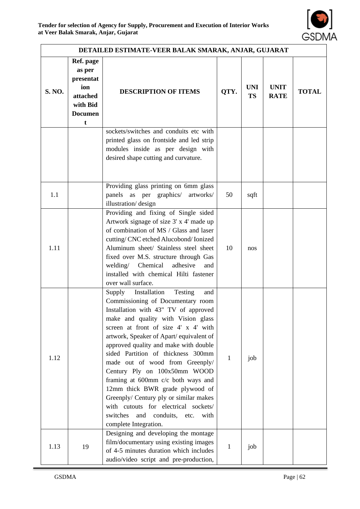

| DETAILED ESTIMATE-VEER BALAK SMARAK, ANJAR, GUJARAT |                                                                                        |                                                                                                                                                                                                                                                                                                                                                                                                                                                                                                                                                                                                                                    |              |                         |                            |              |  |
|-----------------------------------------------------|----------------------------------------------------------------------------------------|------------------------------------------------------------------------------------------------------------------------------------------------------------------------------------------------------------------------------------------------------------------------------------------------------------------------------------------------------------------------------------------------------------------------------------------------------------------------------------------------------------------------------------------------------------------------------------------------------------------------------------|--------------|-------------------------|----------------------------|--------------|--|
| S. NO.                                              | Ref. page<br>as per<br>presentat<br>ion<br>attached<br>with Bid<br><b>Documen</b><br>t | <b>DESCRIPTION OF ITEMS</b>                                                                                                                                                                                                                                                                                                                                                                                                                                                                                                                                                                                                        | QTY.         | <b>UNI</b><br><b>TS</b> | <b>UNIT</b><br><b>RATE</b> | <b>TOTAL</b> |  |
|                                                     |                                                                                        | sockets/switches and conduits etc with<br>printed glass on frontside and led strip<br>modules inside as per design with<br>desired shape cutting and curvature.                                                                                                                                                                                                                                                                                                                                                                                                                                                                    |              |                         |                            |              |  |
| 1.1                                                 |                                                                                        | Providing glass printing on 6mm glass<br>panels as per graphics/<br>artworks/<br>illustration/design                                                                                                                                                                                                                                                                                                                                                                                                                                                                                                                               | 50           | sqft                    |                            |              |  |
| 1.11                                                |                                                                                        | Providing and fixing of Single sided<br>Artwork signage of size 3' x 4' made up<br>of combination of MS / Glass and laser<br>cutting/CNC etched Alucobond/Ionized<br>Aluminum sheet/ Stainless steel sheet<br>fixed over M.S. structure through Gas<br>welding/ Chemical adhesive<br>and<br>installed with chemical Hilti fastener<br>over wall surface.                                                                                                                                                                                                                                                                           | 10           | nos                     |                            |              |  |
| 1.12                                                |                                                                                        | Installation<br>Testing<br>Supply<br>and<br>Commissioning of Documentary room<br>Installation with 43" TV of approved<br>make and quality with Vision glass<br>screen at front of size 4' x 4' with<br>artwork, Speaker of Apart/ equivalent of<br>approved quality and make with double<br>sided Partition of thickness 300mm<br>made out of wood from Greenply/<br>Century Ply on 100x50mm WOOD<br>framing at 600mm c/c both ways and<br>12mm thick BWR grade plywood of<br>Greenply/ Century ply or similar makes<br>with cutouts for electrical sockets/<br>switches<br>and<br>conduits, etc.<br>with<br>complete Integration. | 1            | job                     |                            |              |  |
| 1.13                                                | 19                                                                                     | Designing and developing the montage<br>film/documentary using existing images<br>of 4-5 minutes duration which includes<br>audio/video script and pre-production,                                                                                                                                                                                                                                                                                                                                                                                                                                                                 | $\mathbf{1}$ | job                     |                            |              |  |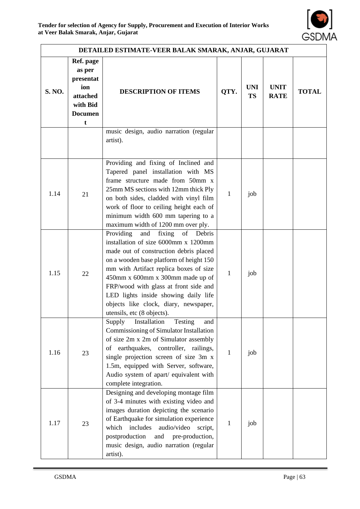

| DETAILED ESTIMATE-VEER BALAK SMARAK, ANJAR, GUJARAT |                                                                                        |                                                                                                                                                                                                                                                                                                                                                                                                               |              |                         |                            |              |
|-----------------------------------------------------|----------------------------------------------------------------------------------------|---------------------------------------------------------------------------------------------------------------------------------------------------------------------------------------------------------------------------------------------------------------------------------------------------------------------------------------------------------------------------------------------------------------|--------------|-------------------------|----------------------------|--------------|
| S. NO.                                              | Ref. page<br>as per<br>presentat<br>ion<br>attached<br>with Bid<br><b>Documen</b><br>t | <b>DESCRIPTION OF ITEMS</b>                                                                                                                                                                                                                                                                                                                                                                                   | QTY.         | <b>UNI</b><br><b>TS</b> | <b>UNIT</b><br><b>RATE</b> | <b>TOTAL</b> |
|                                                     |                                                                                        | music design, audio narration (regular<br>artist).                                                                                                                                                                                                                                                                                                                                                            |              |                         |                            |              |
| 1.14                                                | 21                                                                                     | Providing and fixing of Inclined and<br>Tapered panel installation with MS<br>frame structure made from 50mm x<br>25mm MS sections with 12mm thick Ply<br>on both sides, cladded with vinyl film<br>work of floor to ceiling height each of<br>minimum width 600 mm tapering to a<br>maximum width of 1200 mm over ply.                                                                                       | $\mathbf{1}$ | job                     |                            |              |
| 1.15                                                | 22                                                                                     | Providing<br>fixing<br>of<br>and<br>Debris<br>installation of size 6000mm x 1200mm<br>made out of construction debris placed<br>on a wooden base platform of height 150<br>mm with Artifact replica boxes of size<br>450mm x 600mm x 300mm made up of<br>FRP/wood with glass at front side and<br>LED lights inside showing daily life<br>objects like clock, diary, newspaper,<br>utensils, etc (8 objects). | 1            | job                     |                            |              |
| 1.16                                                | 23                                                                                     | Installation<br>Testing<br>Supply<br>and<br>Commissioning of Simulator Installation<br>of size 2m x 2m of Simulator assembly<br>of earthquakes, controller, railings,<br>single projection screen of size 3m x<br>1.5m, equipped with Server, software,<br>Audio system of apart/ equivalent with<br>complete integration.                                                                                    | 1            | job                     |                            |              |
| 1.17                                                | 23                                                                                     | Designing and developing montage film<br>of 3-4 minutes with existing video and<br>images duration depicting the scenario<br>of Earthquake for simulation experience<br>includes<br>audio/video<br>which<br>script,<br>postproduction<br>and<br>pre-production,<br>music design, audio narration (regular<br>artist).                                                                                         | 1            | job                     |                            |              |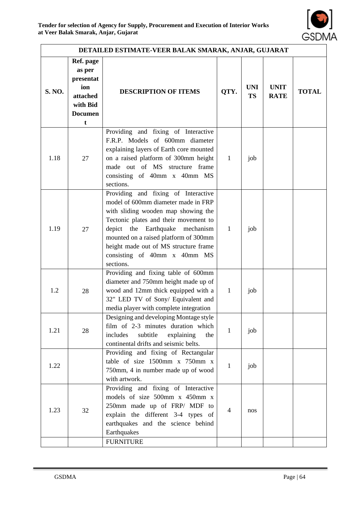

| DETAILED ESTIMATE-VEER BALAK SMARAK, ANJAR, GUJARAT |                                                                                                  |                                                                                                                                                                                                                                                                                                                              |                |                         |                            |              |  |
|-----------------------------------------------------|--------------------------------------------------------------------------------------------------|------------------------------------------------------------------------------------------------------------------------------------------------------------------------------------------------------------------------------------------------------------------------------------------------------------------------------|----------------|-------------------------|----------------------------|--------------|--|
| <b>S. NO.</b>                                       | Ref. page<br>as per<br>presentat<br>ion<br>attached<br>with Bid<br><b>Documen</b><br>$\mathbf t$ | <b>DESCRIPTION OF ITEMS</b>                                                                                                                                                                                                                                                                                                  | QTY.           | <b>UNI</b><br><b>TS</b> | <b>UNIT</b><br><b>RATE</b> | <b>TOTAL</b> |  |
| 1.18                                                | 27                                                                                               | Providing and fixing of Interactive<br>F.R.P. Models of 600mm diameter<br>explaining layers of Earth core mounted<br>on a raised platform of 300mm height<br>made out of MS structure frame<br>consisting of 40mm x 40mm MS<br>sections.                                                                                     | $\mathbf{1}$   | job                     |                            |              |  |
| 1.19                                                | 27                                                                                               | Providing and fixing of Interactive<br>model of 600mm diameter made in FRP<br>with sliding wooden map showing the<br>Tectonic plates and their movement to<br>depict the Earthquake mechanism<br>mounted on a raised platform of 300mm<br>height made out of MS structure frame<br>consisting of 40mm x 40mm MS<br>sections. | $\mathbf{1}$   | job                     |                            |              |  |
| 1.2                                                 | 28                                                                                               | Providing and fixing table of 600mm<br>diameter and 750mm height made up of<br>wood and 12mm thick equipped with a<br>32" LED TV of Sony/ Equivalent and<br>media player with complete integration                                                                                                                           | $\mathbf{1}$   | job                     |                            |              |  |
| 1.21                                                | 28                                                                                               | Designing and developing Montage style<br>film of 2-3 minutes duration which<br>includes<br>subtitle<br>explaining<br>the<br>continental drifts and seismic belts.                                                                                                                                                           | $\mathbf{1}$   | job                     |                            |              |  |
| 1.22                                                |                                                                                                  | Providing and fixing of Rectangular<br>table of size 1500mm x 750mm x<br>750mm, 4 in number made up of wood<br>with artwork.                                                                                                                                                                                                 | $\mathbf 1$    | job                     |                            |              |  |
| 1.23                                                | 32                                                                                               | Providing and fixing of Interactive<br>models of size 500mm x 450mm x<br>250mm made up of FRP/ MDF to<br>explain the different 3-4 types of<br>earthquakes and the science behind<br>Earthquakes                                                                                                                             | $\overline{4}$ | nos                     |                            |              |  |
|                                                     |                                                                                                  | <b>FURNITURE</b>                                                                                                                                                                                                                                                                                                             |                |                         |                            |              |  |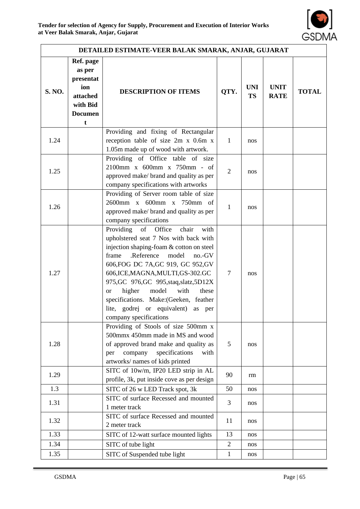

| DETAILED ESTIMATE-VEER BALAK SMARAK, ANJAR, GUJARAT |                                                                                        |                                                                                                                                                                                                                                                                                                                                                                                                                                                           |                |                         |                            |              |
|-----------------------------------------------------|----------------------------------------------------------------------------------------|-----------------------------------------------------------------------------------------------------------------------------------------------------------------------------------------------------------------------------------------------------------------------------------------------------------------------------------------------------------------------------------------------------------------------------------------------------------|----------------|-------------------------|----------------------------|--------------|
| S. NO.                                              | Ref. page<br>as per<br>presentat<br>ion<br>attached<br>with Bid<br><b>Documen</b><br>t | <b>DESCRIPTION OF ITEMS</b>                                                                                                                                                                                                                                                                                                                                                                                                                               | QTY.           | <b>UNI</b><br><b>TS</b> | <b>UNIT</b><br><b>RATE</b> | <b>TOTAL</b> |
| 1.24                                                |                                                                                        | Providing and fixing of Rectangular<br>reception table of size 2m x 0.6m x<br>1.05m made up of wood with artwork.                                                                                                                                                                                                                                                                                                                                         | $\mathbf{1}$   | nos                     |                            |              |
| 1.25                                                |                                                                                        | Providing of Office table of size<br>2100mm x 600mm x 750mm - of<br>approved make/ brand and quality as per<br>company specifications with artworks                                                                                                                                                                                                                                                                                                       | $\overline{2}$ | nos                     |                            |              |
| 1.26                                                |                                                                                        | Providing of Server room table of size<br>2600mm x 600mm x 750mm of<br>approved make/ brand and quality as per<br>company specifications                                                                                                                                                                                                                                                                                                                  | 1              | nos                     |                            |              |
| 1.27                                                |                                                                                        | Providing of Office<br>with<br>chair<br>upholstered seat 7 Nos with back with<br>injection shaping-foam & cotton on steel<br>frame<br>.Reference<br>model<br>$no.-GV$<br>606, FOG DC 7A, GC 919, GC 952, GV<br>606, ICE, MAGNA, MULTI, GS-302. GC<br>975, GC 976, GC 995, staq, slatz, 5D12X<br>higher<br>model<br>with<br>these<br><b>or</b><br>specifications. Make:(Geeken, feather<br>lite, godrej or equivalent)<br>as per<br>company specifications | $\tau$         | nos                     |                            |              |
| 1.28                                                |                                                                                        | Providing of Stools of size 500mm x<br>500mmx 450mm made in MS and wood<br>of approved brand make and quality as<br>specifications<br>company<br>with<br>per<br>artworks/ names of kids printed                                                                                                                                                                                                                                                           | 5              | nos                     |                            |              |
| 1.29                                                |                                                                                        | SITC of 10w/m, IP20 LED strip in AL<br>profile, 3k, put inside cove as per design                                                                                                                                                                                                                                                                                                                                                                         | 90             | rm                      |                            |              |
| 1.3                                                 |                                                                                        | SITC of 26 w LED Track spot, 3k                                                                                                                                                                                                                                                                                                                                                                                                                           | 50             | nos                     |                            |              |
| 1.31                                                |                                                                                        | SITC of surface Recessed and mounted<br>1 meter track                                                                                                                                                                                                                                                                                                                                                                                                     | 3              | nos                     |                            |              |
| 1.32                                                |                                                                                        | SITC of surface Recessed and mounted<br>2 meter track                                                                                                                                                                                                                                                                                                                                                                                                     | 11             | nos                     |                            |              |
| 1.33                                                |                                                                                        | SITC of 12-watt surface mounted lights                                                                                                                                                                                                                                                                                                                                                                                                                    | 13             | nos                     |                            |              |
| 1.34                                                |                                                                                        | SITC of tube light                                                                                                                                                                                                                                                                                                                                                                                                                                        | $\overline{2}$ | nos                     |                            |              |
| 1.35                                                |                                                                                        | SITC of Suspended tube light                                                                                                                                                                                                                                                                                                                                                                                                                              | $\mathbf{1}$   | nos                     |                            |              |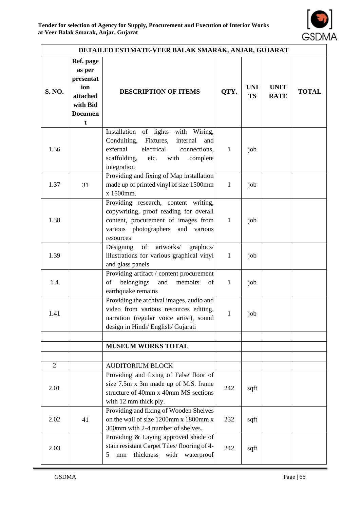

| DETAILED ESTIMATE-VEER BALAK SMARAK, ANJAR, GUJARAT |                                                                                        |                                                                                                                                                                                            |              |                         |                            |              |
|-----------------------------------------------------|----------------------------------------------------------------------------------------|--------------------------------------------------------------------------------------------------------------------------------------------------------------------------------------------|--------------|-------------------------|----------------------------|--------------|
| S. NO.                                              | Ref. page<br>as per<br>presentat<br>ion<br>attached<br>with Bid<br><b>Documen</b><br>t | <b>DESCRIPTION OF ITEMS</b>                                                                                                                                                                | QTY.         | <b>UNI</b><br><b>TS</b> | <b>UNIT</b><br><b>RATE</b> | <b>TOTAL</b> |
| 1.36                                                |                                                                                        | of lights with Wiring,<br>Installation<br>Conduiting,<br>Fixtures,<br>internal<br>and<br>electrical<br>external<br>connections,<br>with<br>scaffolding,<br>complete<br>etc.<br>integration | $\mathbf{1}$ | job                     |                            |              |
| 1.37                                                | 31                                                                                     | Providing and fixing of Map installation<br>made up of printed vinyl of size 1500mm<br>x 1500mm.                                                                                           | $\mathbf{1}$ | job                     |                            |              |
| 1.38                                                |                                                                                        | Providing research, content writing,<br>copywriting, proof reading for overall<br>content, procurement of images from<br>various photographers<br>and various<br>resources                 | $\mathbf{1}$ | job                     |                            |              |
| 1.39                                                |                                                                                        | of<br>artworks/<br>graphics/<br>Designing<br>illustrations for various graphical vinyl<br>and glass panels                                                                                 | $\mathbf{1}$ | job                     |                            |              |
| 1.4                                                 |                                                                                        | Providing artifact / content procurement<br>belongings<br>of<br>and<br>memoirs<br>of<br>earthquake remains                                                                                 | $\mathbf{1}$ | job                     |                            |              |
| 1.41                                                |                                                                                        | Providing the archival images, audio and<br>video from various resources editing,<br>narration (regular voice artist), sound<br>design in Hindi/ English/ Gujarati                         | $\mathbf{1}$ | job                     |                            |              |
|                                                     |                                                                                        |                                                                                                                                                                                            |              |                         |                            |              |
|                                                     |                                                                                        | <b>MUSEUM WORKS TOTAL</b>                                                                                                                                                                  |              |                         |                            |              |
| 2                                                   |                                                                                        | <b>AUDITORIUM BLOCK</b>                                                                                                                                                                    |              |                         |                            |              |
| 2.01                                                |                                                                                        | Providing and fixing of False floor of<br>size 7.5m x 3m made up of M.S. frame<br>structure of 40mm x 40mm MS sections<br>with 12 mm thick ply.                                            | 242          | sqft                    |                            |              |
| 2.02                                                | 41                                                                                     | Providing and fixing of Wooden Shelves<br>on the wall of size 1200mm x 1800mm x<br>300mm with 2-4 number of shelves.                                                                       | 232          | sqft                    |                            |              |
| 2.03                                                |                                                                                        | Providing & Laying approved shade of<br>stain resistant Carpet Tiles/flooring of 4-<br>thickness<br>5<br>with<br>waterproof<br>$\rm mm$                                                    | 242          | sqft                    |                            |              |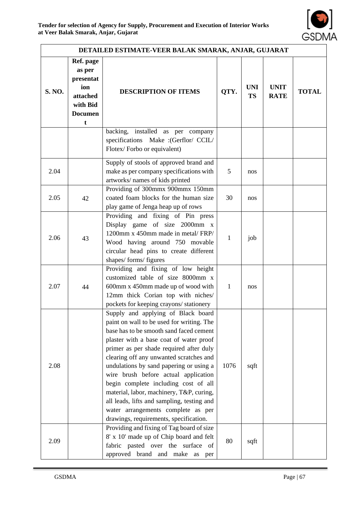

| DETAILED ESTIMATE-VEER BALAK SMARAK, ANJAR, GUJARAT |                                                                                        |                                                                                                                                                                                                                                                                                                                                                                                                                                                                                                                                                                  |              |                         |                            |              |
|-----------------------------------------------------|----------------------------------------------------------------------------------------|------------------------------------------------------------------------------------------------------------------------------------------------------------------------------------------------------------------------------------------------------------------------------------------------------------------------------------------------------------------------------------------------------------------------------------------------------------------------------------------------------------------------------------------------------------------|--------------|-------------------------|----------------------------|--------------|
| <b>S. NO.</b>                                       | Ref. page<br>as per<br>presentat<br>ion<br>attached<br>with Bid<br><b>Documen</b><br>t | <b>DESCRIPTION OF ITEMS</b>                                                                                                                                                                                                                                                                                                                                                                                                                                                                                                                                      | QTY.         | <b>UNI</b><br><b>TS</b> | <b>UNIT</b><br><b>RATE</b> | <b>TOTAL</b> |
|                                                     |                                                                                        | backing, installed as per company<br>specifications Make : (Gerflor/ CCIL/<br>Flotex/Forbo or equivalent)                                                                                                                                                                                                                                                                                                                                                                                                                                                        |              |                         |                            |              |
| 2.04                                                |                                                                                        | Supply of stools of approved brand and<br>make as per company specifications with<br>artworks/ names of kids printed                                                                                                                                                                                                                                                                                                                                                                                                                                             | 5            | nos                     |                            |              |
| 2.05                                                | 42                                                                                     | Providing of 300mmx 900mmx 150mm<br>coated foam blocks for the human size<br>play game of Jenga heap up of rows                                                                                                                                                                                                                                                                                                                                                                                                                                                  | 30           | nos                     |                            |              |
| 2.06                                                | 43                                                                                     | Providing and fixing of Pin press<br>Display game of size 2000mm x<br>1200mm x 450mm made in metal/FRP/<br>Wood having around 750 movable<br>circular head pins to create different<br>shapes/forms/figures                                                                                                                                                                                                                                                                                                                                                      | $\mathbf{1}$ | job                     |                            |              |
| 2.07                                                | 44                                                                                     | Providing and fixing of low height<br>customized table of size 8000mm x<br>600mm x 450mm made up of wood with<br>12mm thick Corian top with niches/<br>pockets for keeping crayons/ stationery                                                                                                                                                                                                                                                                                                                                                                   | 1            | nos                     |                            |              |
| 2.08                                                |                                                                                        | Supply and applying of Black board<br>paint on wall to be used for writing. The<br>base has to be smooth sand faced cement<br>plaster with a base coat of water proof<br>primer as per shade required after duly<br>clearing off any unwanted scratches and<br>undulations by sand papering or using a<br>wire brush before actual application<br>begin complete including cost of all<br>material, labor, machinery, T&P, curing,<br>all leads, lifts and sampling, testing and<br>water arrangements complete as per<br>drawings, requirements, specification. | 1076         | sqft                    |                            |              |
| 2.09                                                |                                                                                        | Providing and fixing of Tag board of size<br>8' x 10' made up of Chip board and felt<br>fabric pasted over the surface<br><sub>of</sub><br>approved brand and make as<br>per                                                                                                                                                                                                                                                                                                                                                                                     | 80           | sqft                    |                            |              |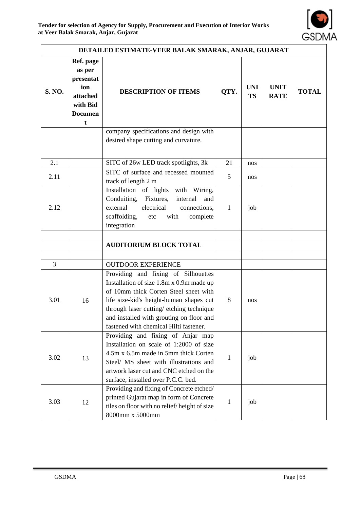

| DETAILED ESTIMATE-VEER BALAK SMARAK, ANJAR, GUJARAT |                                                                                        |                                                                                                                                                                                                                                                                                                      |              |                         |                            |              |  |
|-----------------------------------------------------|----------------------------------------------------------------------------------------|------------------------------------------------------------------------------------------------------------------------------------------------------------------------------------------------------------------------------------------------------------------------------------------------------|--------------|-------------------------|----------------------------|--------------|--|
| <b>S. NO.</b>                                       | Ref. page<br>as per<br>presentat<br>ion<br>attached<br>with Bid<br><b>Documen</b><br>t | <b>DESCRIPTION OF ITEMS</b>                                                                                                                                                                                                                                                                          | QTY.         | <b>UNI</b><br><b>TS</b> | <b>UNIT</b><br><b>RATE</b> | <b>TOTAL</b> |  |
|                                                     |                                                                                        | company specifications and design with<br>desired shape cutting and curvature.                                                                                                                                                                                                                       |              |                         |                            |              |  |
| 2.1                                                 |                                                                                        | SITC of 26w LED track spotlights, 3k                                                                                                                                                                                                                                                                 | 21           | nos                     |                            |              |  |
| 2.11                                                |                                                                                        | SITC of surface and recessed mounted<br>track of length 2 m                                                                                                                                                                                                                                          | 5            | nos                     |                            |              |  |
| 2.12                                                |                                                                                        | Installation of lights with Wiring,<br>Conduiting, Fixtures,<br>internal<br>and<br>external<br>electrical<br>connections,<br>scaffolding,<br>with<br>complete<br>etc<br>integration                                                                                                                  | 1            | job                     |                            |              |  |
|                                                     |                                                                                        |                                                                                                                                                                                                                                                                                                      |              |                         |                            |              |  |
|                                                     |                                                                                        | <b>AUDITORIUM BLOCK TOTAL</b>                                                                                                                                                                                                                                                                        |              |                         |                            |              |  |
| 3                                                   |                                                                                        | <b>OUTDOOR EXPERIENCE</b>                                                                                                                                                                                                                                                                            |              |                         |                            |              |  |
| 3.01                                                | 16                                                                                     | Providing and fixing of Silhouettes<br>Installation of size 1.8m x 0.9m made up<br>of 10mm thick Corten Steel sheet with<br>life size-kid's height-human shapes cut<br>through laser cutting/etching technique<br>and installed with grouting on floor and<br>fastened with chemical Hilti fastener. | 8            | nos                     |                            |              |  |
| 3.02                                                | 13                                                                                     | Providing and fixing of Anjar map<br>Installation on scale of 1:2000 of size<br>4.5m x 6.5m made in 5mm thick Corten<br>Steel/ MS sheet with illustrations and<br>artwork laser cut and CNC etched on the<br>surface, installed over P.C.C. bed.                                                     | 1            | job                     |                            |              |  |
| 3.03                                                | 12                                                                                     | Providing and fixing of Concrete etched/<br>printed Gujarat map in form of Concrete<br>tiles on floor with no relief/height of size<br>8000mm x 5000mm                                                                                                                                               | $\mathbf{1}$ | job                     |                            |              |  |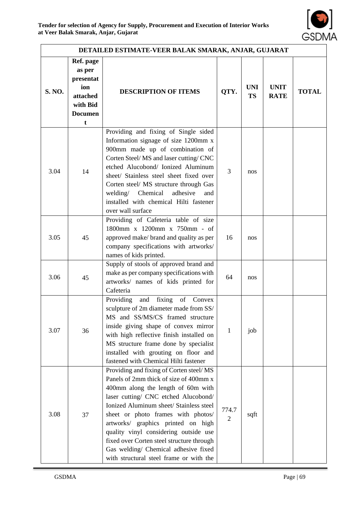

| DETAILED ESTIMATE-VEER BALAK SMARAK, ANJAR, GUJARAT |                                                                                        |                                                                                                                                                                                                                                                                                                                                                                                                                                                                 |                         |                         |                            |              |
|-----------------------------------------------------|----------------------------------------------------------------------------------------|-----------------------------------------------------------------------------------------------------------------------------------------------------------------------------------------------------------------------------------------------------------------------------------------------------------------------------------------------------------------------------------------------------------------------------------------------------------------|-------------------------|-------------------------|----------------------------|--------------|
| <b>S. NO.</b>                                       | Ref. page<br>as per<br>presentat<br>ion<br>attached<br>with Bid<br><b>Documen</b><br>t | <b>DESCRIPTION OF ITEMS</b>                                                                                                                                                                                                                                                                                                                                                                                                                                     | QTY.                    | <b>UNI</b><br><b>TS</b> | <b>UNIT</b><br><b>RATE</b> | <b>TOTAL</b> |
| 3.04                                                | 14                                                                                     | Providing and fixing of Single sided<br>Information signage of size 1200mm x<br>900mm made up of combination of<br>Corten Steel/MS and laser cutting/CNC<br>etched Alucobond/ Ionized Aluminum<br>sheet/ Stainless steel sheet fixed over<br>Corten steel/ MS structure through Gas<br>welding/ Chemical adhesive<br>and<br>installed with chemical Hilti fastener<br>over wall surface                                                                         | 3                       | nos                     |                            |              |
| 3.05                                                | 45                                                                                     | Providing of Cafeteria table of size<br>1800mm x 1200mm x 750mm - of<br>approved make/ brand and quality as per<br>company specifications with artworks/<br>names of kids printed.                                                                                                                                                                                                                                                                              | 16                      | nos                     |                            |              |
| 3.06                                                | 45                                                                                     | Supply of stools of approved brand and<br>make as per company specifications with<br>artworks/ names of kids printed for<br>Cafeteria                                                                                                                                                                                                                                                                                                                           | 64                      | nos                     |                            |              |
| 3.07                                                | 36                                                                                     | Providing<br>fixing<br>and<br>of<br>Convex<br>sculpture of 2m diameter made from SS/<br>MS and SS/MS/CS framed structure<br>inside giving shape of convex mirror<br>with high reflective finish installed on<br>MS structure frame done by specialist<br>installed with grouting on floor and<br>fastened with Chemical Hilti fastener                                                                                                                          | 1                       | job                     |                            |              |
| 3.08                                                | 37                                                                                     | Providing and fixing of Corten steel/MS<br>Panels of 2mm thick of size of 400mm x<br>400mm along the length of 60m with<br>laser cutting/ CNC etched Alucobond/<br>Ionized Aluminum sheet/ Stainless steel<br>sheet or photo frames with photos/<br>artworks/ graphics printed on high<br>quality vinyl considering outside use<br>fixed over Corten steel structure through<br>Gas welding/ Chemical adhesive fixed<br>with structural steel frame or with the | 774.7<br>$\overline{2}$ | sqft                    |                            |              |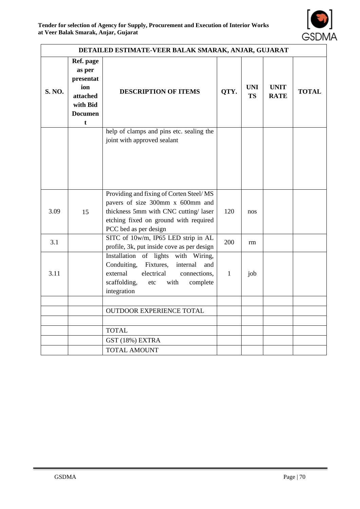

| DETAILED ESTIMATE-VEER BALAK SMARAK, ANJAR, GUJARAT                                                     |    |                                                                                                                                                                                        |              |                         |                            |              |
|---------------------------------------------------------------------------------------------------------|----|----------------------------------------------------------------------------------------------------------------------------------------------------------------------------------------|--------------|-------------------------|----------------------------|--------------|
| Ref. page<br>as per<br>presentat<br>ion<br><b>S. NO.</b><br>attached<br>with Bid<br><b>Documen</b><br>t |    | <b>DESCRIPTION OF ITEMS</b>                                                                                                                                                            | QTY.         | <b>UNI</b><br><b>TS</b> | <b>UNIT</b><br><b>RATE</b> | <b>TOTAL</b> |
|                                                                                                         |    | help of clamps and pins etc. sealing the<br>joint with approved sealant                                                                                                                |              |                         |                            |              |
| 3.09                                                                                                    | 15 | Providing and fixing of Corten Steel/MS<br>pavers of size 300mm x 600mm and<br>thickness 5mm with CNC cutting/laser<br>etching fixed on ground with required<br>PCC bed as per design  | 120          | nos                     |                            |              |
| 3.1                                                                                                     |    | SITC of 10w/m, IP65 LED strip in AL<br>profile, 3k, put inside cove as per design                                                                                                      | 200          | rm                      |                            |              |
| 3.11                                                                                                    |    | Installation of lights with Wiring,<br>Fixtures,<br>Conduiting,<br>internal<br>and<br>external<br>electrical<br>connections,<br>scaffolding,<br>with<br>etc<br>complete<br>integration | $\mathbf{1}$ | job                     |                            |              |
|                                                                                                         |    |                                                                                                                                                                                        |              |                         |                            |              |
|                                                                                                         |    | OUTDOOR EXPERIENCE TOTAL                                                                                                                                                               |              |                         |                            |              |
|                                                                                                         |    | <b>TOTAL</b>                                                                                                                                                                           |              |                         |                            |              |
|                                                                                                         |    | GST (18%) EXTRA                                                                                                                                                                        |              |                         |                            |              |
|                                                                                                         |    | <b>TOTAL AMOUNT</b>                                                                                                                                                                    |              |                         |                            |              |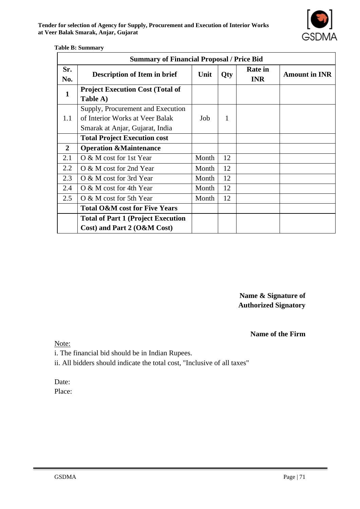| <b>Summary of Financial Proposal / Price Bid</b> |                                                                                                         |       |     |                              |                      |  |  |
|--------------------------------------------------|---------------------------------------------------------------------------------------------------------|-------|-----|------------------------------|----------------------|--|--|
| Sr.<br>No.                                       | <b>Description of Item in brief</b>                                                                     | Unit  | Qty | <b>Rate in</b><br><b>INR</b> | <b>Amount in INR</b> |  |  |
| $\mathbf{1}$                                     | <b>Project Execution Cost (Total of</b><br>Table A)                                                     |       |     |                              |                      |  |  |
| 1.1                                              | Supply, Procurement and Execution<br>of Interior Works at Veer Balak<br>Smarak at Anjar, Gujarat, India | Job   | 1   |                              |                      |  |  |
|                                                  | <b>Total Project Execution cost</b>                                                                     |       |     |                              |                      |  |  |
| $\overline{2}$                                   | <b>Operation &amp;Maintenance</b>                                                                       |       |     |                              |                      |  |  |
| 2.1                                              | O & M cost for 1st Year                                                                                 | Month | 12  |                              |                      |  |  |
| 2.2                                              | O & M cost for 2nd Year                                                                                 | Month | 12  |                              |                      |  |  |
| 2.3                                              | O & M cost for 3rd Year                                                                                 | Month | 12  |                              |                      |  |  |
| 2.4                                              | O & M cost for 4th Year                                                                                 | Month | 12  |                              |                      |  |  |
| 2.5                                              | O & M cost for 5th Year                                                                                 | Month | 12  |                              |                      |  |  |
|                                                  | <b>Total O&amp;M cost for Five Years</b>                                                                |       |     |                              |                      |  |  |
|                                                  | <b>Total of Part 1 (Project Execution)</b>                                                              |       |     |                              |                      |  |  |
|                                                  | Cost) and Part 2 (O&M Cost)                                                                             |       |     |                              |                      |  |  |

#### **Table B: Summary**

**Name & Signature of Authorized Signatory**

**Name of the Firm**

Note:

i. The financial bid should be in Indian Rupees.

ii. All bidders should indicate the total cost, "Inclusive of all taxes"

Date:

Place: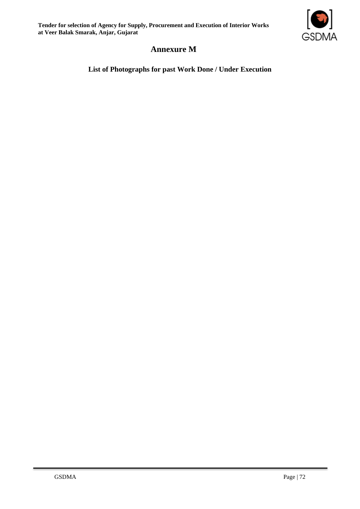**Tender for selection of Agency for Supply, Procurement and Execution of Interior Works at Veer Balak Smarak, Anjar, Gujarat**



## **Annexure M**

**List of Photographs for past Work Done / Under Execution**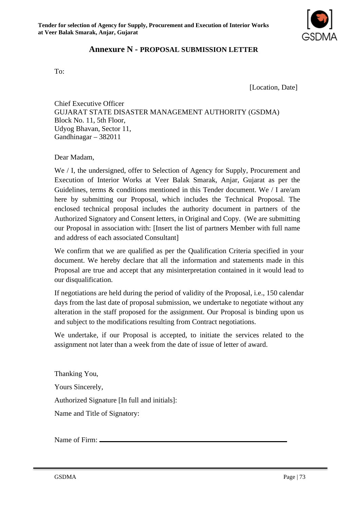

### **Annexure N - PROPOSAL SUBMISSION LETTER**

To:

[Location, Date]

Chief Executive Officer GUJARAT STATE DISASTER MANAGEMENT AUTHORITY (GSDMA) Block No. 11, 5th Floor, Udyog Bhavan, Sector 11, Gandhinagar – 382011

Dear Madam,

We / I, the undersigned, offer to Selection of Agency for Supply, Procurement and Execution of Interior Works at Veer Balak Smarak, Anjar, Gujarat as per the Guidelines, terms  $\&$  conditions mentioned in this Tender document. We / I are/am here by submitting our Proposal, which includes the Technical Proposal. The enclosed technical proposal includes the authority document in partners of the Authorized Signatory and Consent letters, in Original and Copy. (We are submitting our Proposal in association with: [Insert the list of partners Member with full name and address of each associated Consultant]

We confirm that we are qualified as per the Qualification Criteria specified in your document. We hereby declare that all the information and statements made in this Proposal are true and accept that any misinterpretation contained in it would lead to our disqualification.

If negotiations are held during the period of validity of the Proposal, i.e., 150 calendar days from the last date of proposal submission, we undertake to negotiate without any alteration in the staff proposed for the assignment. Our Proposal is binding upon us and subject to the modifications resulting from Contract negotiations.

We undertake, if our Proposal is accepted, to initiate the services related to the assignment not later than a week from the date of issue of letter of award.

Thanking You, Yours Sincerely, Authorized Signature [In full and initials]: Name and Title of Signatory:

Name of Firm: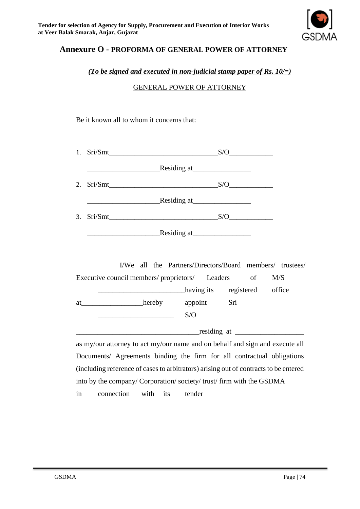

### **Annexure O - PROFORMA OF GENERAL POWER OF ATTORNEY**

#### *(To be signed and executed in non-judicial stamp paper of Rs. 10/=)*

GENERAL POWER OF ATTORNEY

Be it known all to whom it concerns that:

|  |             | S/O |
|--|-------------|-----|
|  |             |     |
|  |             | S/O |
|  |             |     |
|  |             | S/O |
|  | Residing at |     |

I/We all the Partners/Directors/Board members/ trustees/ Executive council members/ proprietors/ Leaders of M/S \_\_\_\_\_\_\_\_\_\_\_\_\_\_\_\_\_\_\_\_\_\_\_\_having its registered office at hereby appoint Sri  $\overline{\phantom{a}}$  S/O  $residing at$   $\qquad \qquad$ 

as my/our attorney to act my/our name and on behalf and sign and execute all Documents/ Agreements binding the firm for all contractual obligations (including reference of cases to arbitrators) arising out of contracts to be entered into by the company/ Corporation/ society/ trust/ firm with the GSDMA in connection with its tender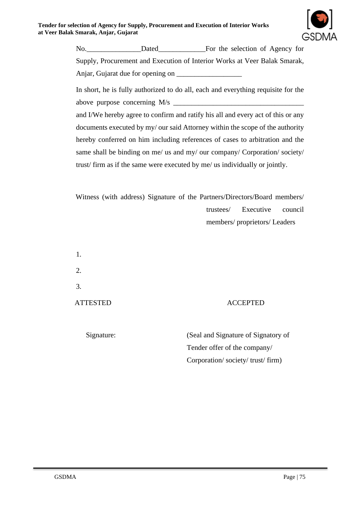

No. Dated For the selection of Agency for Supply, Procurement and Execution of Interior Works at Veer Balak Smarak, Anjar, Gujarat due for opening on \_\_\_\_\_\_\_\_\_\_\_\_\_\_\_\_\_\_

In short, he is fully authorized to do all, each and everything requisite for the above purpose concerning  $M/s$ 

and I/We hereby agree to confirm and ratify his all and every act of this or any documents executed by my/ our said Attorney within the scope of the authority hereby conferred on him including references of cases to arbitration and the same shall be binding on me/ us and my/ our company/ Corporation/ society/ trust/ firm as if the same were executed by me/ us individually or jointly.

Witness (with address) Signature of the Partners/Directors/Board members/ trustees/ Executive council members/ proprietors/ Leaders

1. 2. 3.

#### ATTESTED ACCEPTED

Signature: (Seal and Signature of Signatory of Tender offer of the company/ Corporation/ society/ trust/ firm)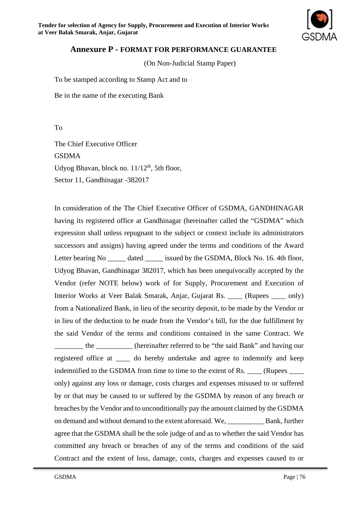

#### **Annexure P - FORMAT FOR PERFORMANCE GUARANTEE**

(On Non-Judicial Stamp Paper)

To be stamped according to Stamp Act and to

Be in the name of the executing Bank

To

The Chief Executive Officer GSDMA Udyog Bhavan, block no.  $11/12^{th}$ , 5th floor, Sector 11, Gandhinagar -382017

In consideration of the The Chief Executive Officer of GSDMA, GANDHINAGAR having its registered office at Gandhinagar (hereinafter called the "GSDMA" which expression shall unless repugnant to the subject or context include its administrators successors and assigns) having agreed under the terms and conditions of the Award Letter bearing No \_\_\_\_\_\_ dated \_\_\_\_\_\_ issued by the GSDMA, Block No. 16. 4th floor, Udyog Bhavan, Gandhinagar 382017, which has been unequivocally accepted by the Vendor (refer NOTE below) work of for Supply, Procurement and Execution of Interior Works at Veer Balak Smarak, Anjar, Gujarat Rs. \_\_\_\_ (Rupees \_\_\_\_ only) from a Nationalized Bank, in lieu of the security deposit, to be made by the Vendor or in lieu of the deduction to be made from the Vendor's bill, for the due fulfillment by the said Vendor of the terms and conditions contained in the same Contract. We \_\_\_\_\_\_\_\_ the \_\_\_\_\_\_\_\_\_\_ (hereinafter referred to be "the said Bank" and having our registered office at \_\_\_\_ do hereby undertake and agree to indemnify and keep indemnified to the GSDMA from time to time to the extent of Rs. (Rupees only) against any loss or damage, costs charges and expenses misused to or suffered by or that may be caused to or suffered by the GSDMA by reason of any breach or breaches by the Vendor and to unconditionally pay the amount claimed by the GSDMA on demand and without demand to the extent aforesaid. We, \_\_\_\_\_\_\_\_\_\_ Bank, further agree that the GSDMA shall be the sole judge of and as to whether the said Vendor has committed any breach or breaches of any of the terms and conditions of the said Contract and the extent of loss, damage, costs, charges and expenses caused to or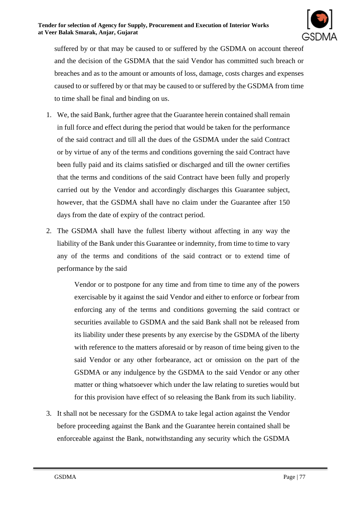

suffered by or that may be caused to or suffered by the GSDMA on account thereof and the decision of the GSDMA that the said Vendor has committed such breach or breaches and as to the amount or amounts of loss, damage, costs charges and expenses caused to or suffered by or that may be caused to or suffered by the GSDMA from time to time shall be final and binding on us.

- 1. We, the said Bank, further agree that the Guarantee herein contained shall remain in full force and effect during the period that would be taken for the performance of the said contract and till all the dues of the GSDMA under the said Contract or by virtue of any of the terms and conditions governing the said Contract have been fully paid and its claims satisfied or discharged and till the owner certifies that the terms and conditions of the said Contract have been fully and properly carried out by the Vendor and accordingly discharges this Guarantee subject, however, that the GSDMA shall have no claim under the Guarantee after 150 days from the date of expiry of the contract period.
- 2. The GSDMA shall have the fullest liberty without affecting in any way the liability of the Bank under this Guarantee or indemnity, from time to time to vary any of the terms and conditions of the said contract or to extend time of performance by the said

Vendor or to postpone for any time and from time to time any of the powers exercisable by it against the said Vendor and either to enforce or forbear from enforcing any of the terms and conditions governing the said contract or securities available to GSDMA and the said Bank shall not be released from its liability under these presents by any exercise by the GSDMA of the liberty with reference to the matters aforesaid or by reason of time being given to the said Vendor or any other forbearance, act or omission on the part of the GSDMA or any indulgence by the GSDMA to the said Vendor or any other matter or thing whatsoever which under the law relating to sureties would but for this provision have effect of so releasing the Bank from its such liability.

3. It shall not be necessary for the GSDMA to take legal action against the Vendor before proceeding against the Bank and the Guarantee herein contained shall be enforceable against the Bank, notwithstanding any security which the GSDMA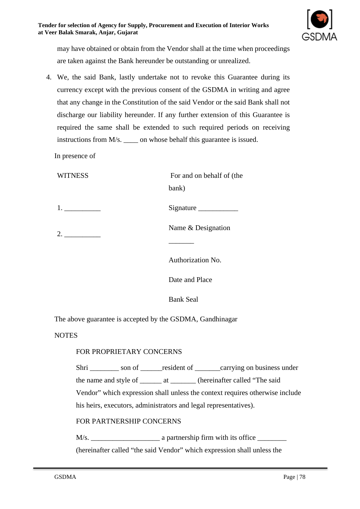

may have obtained or obtain from the Vendor shall at the time when proceedings are taken against the Bank hereunder be outstanding or unrealized.

4. We, the said Bank, lastly undertake not to revoke this Guarantee during its currency except with the previous consent of the GSDMA in writing and agree that any change in the Constitution of the said Vendor or the said Bank shall not discharge our liability hereunder. If any further extension of this Guarantee is required the same shall be extended to such required periods on receiving instructions from M/s. \_\_\_\_ on whose behalf this guarantee is issued.

In presence of

| <b>WITNESS</b> | For and on behalf of (the |  |
|----------------|---------------------------|--|
|                | bank)                     |  |
|                | Signature                 |  |
| 2.             | Name & Designation        |  |
|                |                           |  |
|                | Authorization No.         |  |
|                | Date and Place            |  |
|                | <b>Bank Seal</b>          |  |

The above guarantee is accepted by the GSDMA, Gandhinagar

**NOTES** 

#### FOR PROPRIETARY CONCERNS

Shri son of resident of carrying on business under the name and style of \_\_\_\_\_\_ at \_\_\_\_\_\_\_ (hereinafter called "The said Vendor" which expression shall unless the context requires otherwise include his heirs, executors, administrators and legal representatives).

#### FOR PARTNERSHIP CONCERNS

M/s. \_\_\_\_\_\_\_\_\_\_\_\_\_\_\_\_\_\_\_ a partnership firm with its office \_\_\_\_\_\_\_\_ (hereinafter called "the said Vendor" which expression shall unless the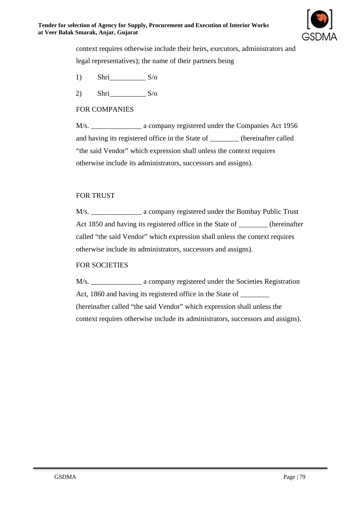

context requires otherwise include their heirs, executors, administrators and legal representatives); the name of their partners being

- 1) Shri $S/\sigma$
- 2) Shri $S/\sigma$

### FOR COMPANIES

M/s. \_\_\_\_\_\_\_\_\_\_\_\_\_\_ a company registered under the Companies Act 1956 and having its registered office in the State of \_\_\_\_\_\_\_\_ (hereinafter called "the said Vendor" which expression shall unless the context requires otherwise include its administrators, successors and assigns).

#### FOR TRUST

M/s. \_\_\_\_\_\_\_\_\_\_\_\_\_\_\_\_\_\_\_\_ a company registered under the Bombay Public Trust Act 1850 and having its registered office in the State of \_\_\_\_\_\_\_\_ (hereinafter called "the said Vendor" which expression shall unless the context requires otherwise include its administrators, successors and assigns).

#### FOR SOCIETIES

M/s. \_\_\_\_\_\_\_\_\_\_\_\_\_\_\_ a company registered under the Societies Registration Act, 1860 and having its registered office in the State of (hereinafter called "the said Vendor" which expression shall unless the context requires otherwise include its administrators, successors and assigns).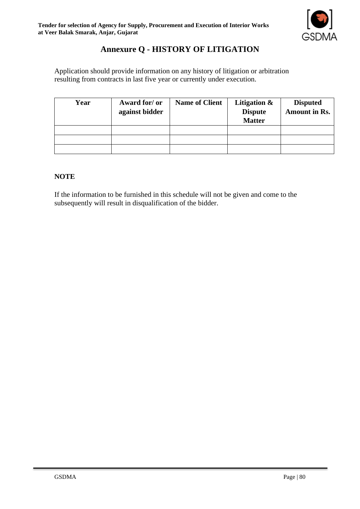

# **Annexure Q - HISTORY OF LITIGATION**

Application should provide information on any history of litigation or arbitration resulting from contracts in last five year or currently under execution.

| Year | Award for/ or<br>against bidder | <b>Name of Client</b> | Litigation &<br><b>Dispute</b><br><b>Matter</b> | <b>Disputed</b><br><b>Amount in Rs.</b> |
|------|---------------------------------|-----------------------|-------------------------------------------------|-----------------------------------------|
|      |                                 |                       |                                                 |                                         |
|      |                                 |                       |                                                 |                                         |
|      |                                 |                       |                                                 |                                         |

#### **NOTE**

If the information to be furnished in this schedule will not be given and come to the subsequently will result in disqualification of the bidder.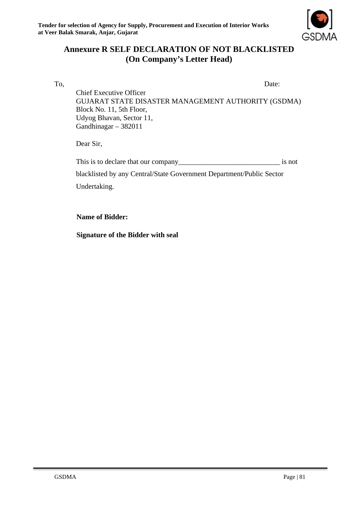

# **Annexure R SELF DECLARATION OF NOT BLACKLISTED (On Company's Letter Head)**

To, Date: Chief Executive Officer GUJARAT STATE DISASTER MANAGEMENT AUTHORITY (GSDMA) Block No. 11, 5th Floor, Udyog Bhavan, Sector 11, Gandhinagar – 382011

Dear Sir,

| This is to declare that our company                                  | is not |  |  |  |
|----------------------------------------------------------------------|--------|--|--|--|
| blacklisted by any Central/State Government Department/Public Sector |        |  |  |  |
| Undertaking.                                                         |        |  |  |  |

#### **Name of Bidder:**

**Signature of the Bidder with seal**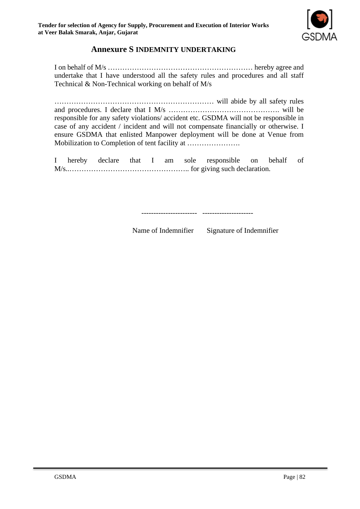

## **Annexure S INDEMNITY UNDERTAKING**

I on behalf of M/s …………………………………………………… hereby agree and undertake that I have understood all the safety rules and procedures and all staff Technical & Non-Technical working on behalf of M/s

………………………………………………………… will abide by all safety rules and procedures. I declare that I M/s ………………………………………. will be responsible for any safety violations/ accident etc. GSDMA will not be responsible in case of any accident / incident and will not compensate financially or otherwise. I ensure GSDMA that enlisted Manpower deployment will be done at Venue from Mobilization to Completion of tent facility at ………………….

I hereby declare that I am sole responsible on behalf of M/s..………………………………………….. for giving such declaration.

----------------------- ---------------------

Name of Indemnifier Signature of Indemnifier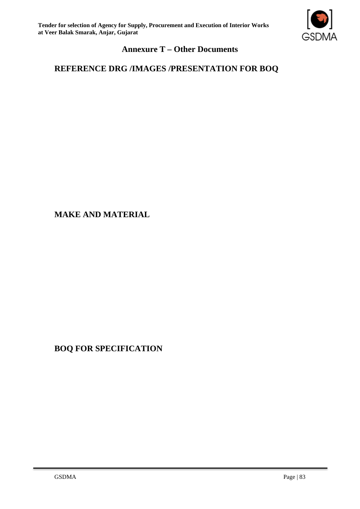

# **Annexure T – Other Documents**

# **REFERENCE DRG /IMAGES /PRESENTATION FOR BOQ**

## **MAKE AND MATERIAL**

# **BOQ FOR SPECIFICATION**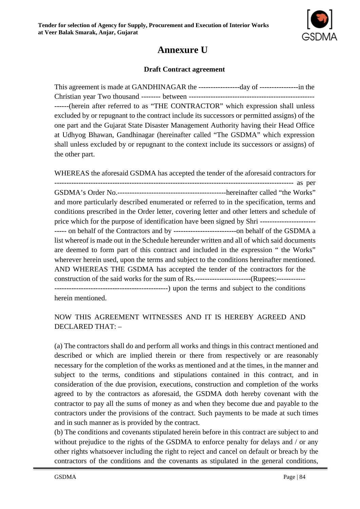

# **Annexure U**

### **Draft Contract agreement**

This agreement is made at GANDHINAGAR the -----------------day of ----------------in the Christian year Two thousand -------- between ---------------------------------------------------- ------(herein after referred to as "THE CONTRACTOR" which expression shall unless excluded by or repugnant to the contract include its successors or permitted assigns) of the one part and the Gujarat State Disaster Management Authority having their Head Office at Udhyog Bhawan, Gandhinagar (hereinafter called "The GSDMA" which expression shall unless excluded by or repugnant to the context include its successors or assigns) of the other part.

WHEREAS the aforesaid GSDMA has accepted the tender of the aforesaid contractors for --------------------------------------------------------------------------------------------------- as per GSDMA's Order No.---------------------------------------------hereinafter called "the Works" and more particularly described enumerated or referred to in the specification, terms and conditions prescribed in the Order letter, covering letter and other letters and schedule of price which for the purpose of identification have been signed by Shri ----------------------- ----- on behalf of the Contractors and by --------------------------on behalf of the GSDMA a list whereof is made out in the Schedule hereunder written and all of which said documents are deemed to form part of this contract and included in the expression " the Works" wherever herein used, upon the terms and subject to the conditions hereinafter mentioned. AND WHEREAS THE GSDMA has accepted the tender of the contractors for the construction of the said works for the sum of Rs.-----------------------------(Rupees:------------------------------------------------------------) upon the terms and subject to the conditions herein mentioned.

### NOW THIS AGREEMENT WITNESSES AND IT IS HEREBY AGREED AND DECLARED THAT: –

(a) The contractors shall do and perform all works and things in this contract mentioned and described or which are implied therein or there from respectively or are reasonably necessary for the completion of the works as mentioned and at the times, in the manner and subject to the terms, conditions and stipulations contained in this contract, and in consideration of the due provision, executions, construction and completion of the works agreed to by the contractors as aforesaid, the GSDMA doth hereby covenant with the contractor to pay all the sums of money as and when they become due and payable to the contractors under the provisions of the contract. Such payments to be made at such times and in such manner as is provided by the contract.

(b) The conditions and covenants stipulated herein before in this contract are subject to and without prejudice to the rights of the GSDMA to enforce penalty for delays and / or any other rights whatsoever including the right to reject and cancel on default or breach by the contractors of the conditions and the covenants as stipulated in the general conditions,